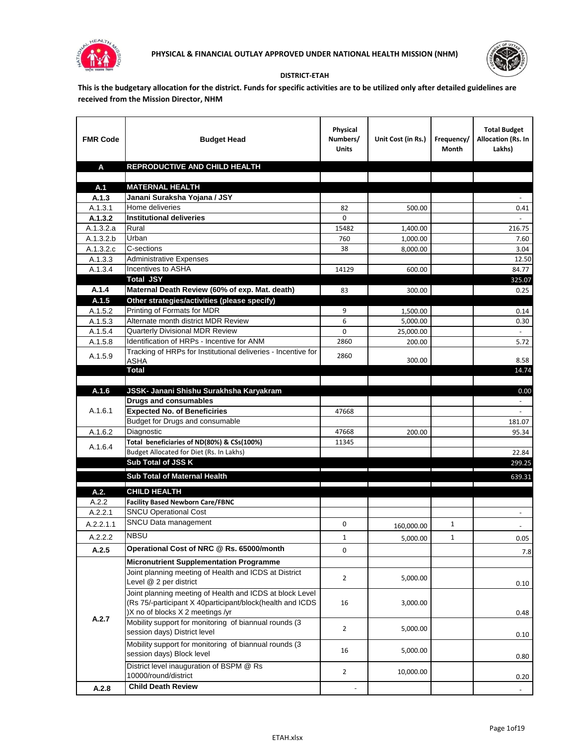



## **DISTRICT-ETAH**

**This is the budgetary allocation for the district. Funds for specific activities are to be utilized only after detailed guidelines are received from the Mission Director, NHM**

| <b>FMR Code</b>  | <b>Budget Head</b>                                                    | Physical<br>Numbers/<br><b>Units</b> | Unit Cost (in Rs.) | Frequency/<br><b>Month</b> | <b>Total Budget</b><br><b>Allocation (Rs. In</b><br>Lakhs) |
|------------------|-----------------------------------------------------------------------|--------------------------------------|--------------------|----------------------------|------------------------------------------------------------|
| A                | REPRODUCTIVE AND CHILD HEALTH                                         |                                      |                    |                            |                                                            |
|                  |                                                                       |                                      |                    |                            |                                                            |
| A.1              | <b>MATERNAL HEALTH</b>                                                |                                      |                    |                            |                                                            |
| A.1.3<br>A.1.3.1 | Janani Suraksha Yojana / JSY<br>Home deliveries                       | 82                                   | 500.00             |                            | 0.41                                                       |
| A.1.3.2          | <b>Institutional deliveries</b>                                       | $\Omega$                             |                    |                            |                                                            |
| A.1.3.2.a        | Rural                                                                 | 15482                                | 1,400.00           |                            | 216.75                                                     |
| A.1.3.2.b        | Urban                                                                 | 760                                  | 1,000.00           |                            | 7.60                                                       |
| A.1.3.2.c        | C-sections                                                            | 38                                   | 8,000.00           |                            | 3.04                                                       |
| A.1.3.3          | <b>Administrative Expenses</b>                                        |                                      |                    |                            | 12.50                                                      |
| A.1.3.4          | Incentives to ASHA                                                    | 14129                                | 600.00             |                            | 84.77                                                      |
|                  | <b>Total JSY</b>                                                      |                                      |                    |                            | 325.07                                                     |
| A.1.4            | Maternal Death Review (60% of exp. Mat. death)                        | 83                                   | 300.00             |                            | 0.25                                                       |
| A.1.5            | Other strategies/activities (please specify)                          |                                      |                    |                            |                                                            |
| A.1.5.2          | Printing of Formats for MDR                                           | 9                                    | 1,500.00           |                            | 0.14                                                       |
| A.1.5.3          | Alternate month district MDR Review                                   | 6                                    | 5,000.00           |                            | 0.30                                                       |
| A.1.5.4          | <b>Quarterly Divisional MDR Review</b>                                | 0                                    | 25,000.00          |                            |                                                            |
| A.1.5.8          | Identification of HRPs - Incentive for ANM                            | 2860                                 | 200.00             |                            | 5.72                                                       |
| A.1.5.9          | Tracking of HRPs for Institutional deliveries - Incentive for<br>ASHA | 2860                                 | 300.00             |                            | 8.58                                                       |
|                  | <b>Total</b>                                                          |                                      |                    |                            | 14.74                                                      |
|                  |                                                                       |                                      |                    |                            |                                                            |
| A.1.6            | JSSK- Janani Shishu Surakhsha Karyakram                               |                                      |                    |                            | 0.00                                                       |
|                  | <b>Drugs and consumables</b>                                          |                                      |                    |                            |                                                            |
| A.1.6.1          | <b>Expected No. of Beneficiries</b>                                   | 47668                                |                    |                            |                                                            |
|                  | Budget for Drugs and consumable                                       |                                      |                    |                            | 181.07                                                     |
| A.1.6.2          | Diagnostic                                                            | 47668                                | 200.00             |                            | 95.34                                                      |
| A.1.6.4          | Total beneficiaries of ND(80%) & CSs(100%)                            | 11345                                |                    |                            |                                                            |
|                  | Budget Allocated for Diet (Rs. In Lakhs)<br>Sub Total of JSS K        |                                      |                    |                            | 22.84                                                      |
|                  |                                                                       |                                      |                    |                            | 299.25                                                     |
|                  | Sub Total of Maternal Health                                          |                                      |                    |                            | 639.31                                                     |
| A.2.             | <b>CHILD HEALTH</b>                                                   |                                      |                    |                            |                                                            |
| A.2.2            | <b>Facility Based Newborn Care/FBNC</b>                               |                                      |                    |                            |                                                            |
| A.2.2.1          | <b>SNCU Operational Cost</b>                                          |                                      |                    |                            | $\blacksquare$                                             |
| A.2.2.1.1        | SNCU Data management                                                  | 0                                    | 160,000.00         | 1                          |                                                            |
| A.2.2.2          | <b>NBSU</b>                                                           | $\mathbf 1$                          | 5,000.00           | 1                          | 0.05                                                       |
| A.2.5            | Operational Cost of NRC @ Rs. 65000/month                             | 0                                    |                    |                            | 7.8                                                        |
|                  | Micronutrient Supplementation Programme                               |                                      |                    |                            |                                                            |
|                  | Joint planning meeting of Health and ICDS at District                 |                                      |                    |                            |                                                            |
|                  | Level @ 2 per district                                                | $\overline{2}$                       | 5,000.00           |                            | 0.10                                                       |
|                  | Joint planning meeting of Health and ICDS at block Level              |                                      |                    |                            |                                                            |
|                  | (Rs 75/-participant X 40participant/block(health and ICDS             | 16                                   | 3,000.00           |                            |                                                            |
| A.2.7            | )X no of blocks X 2 meetings /yr                                      |                                      |                    |                            | 0.48                                                       |
|                  | Mobility support for monitoring of biannual rounds (3                 | $\overline{2}$                       | 5,000.00           |                            |                                                            |
|                  | session days) District level                                          |                                      |                    |                            | 0.10                                                       |
|                  | Mobility support for monitoring of biannual rounds (3                 | 16                                   | 5,000.00           |                            |                                                            |
|                  | session days) Block level                                             |                                      |                    |                            | 0.80                                                       |
|                  | District level inauguration of BSPM @ Rs                              | $\overline{2}$                       | 10,000.00          |                            |                                                            |
|                  | 10000/round/district                                                  |                                      |                    |                            | 0.20                                                       |
| A.2.8            | <b>Child Death Review</b>                                             |                                      |                    |                            | $\blacksquare$                                             |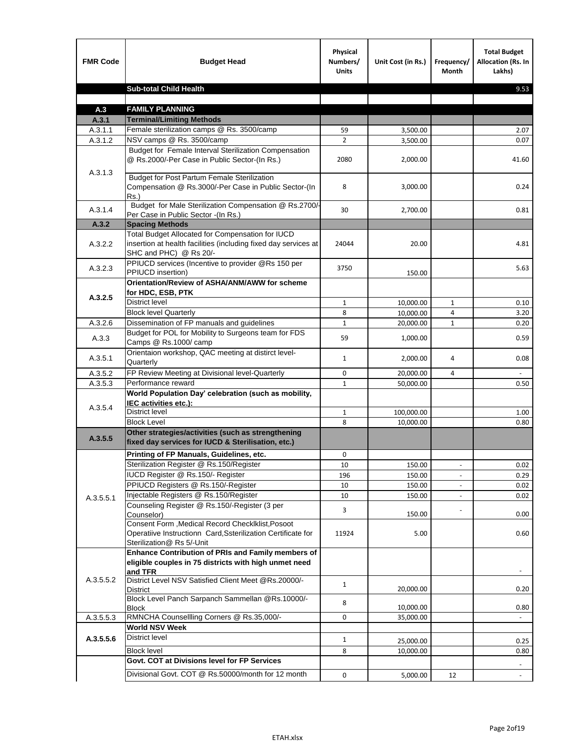| <b>Sub-total Child Health</b><br>9.53<br><b>FAMILY PLANNING</b><br>A.3<br><b>Terminal/Limiting Methods</b><br>A.3.1<br>Female sterilization camps @ Rs. 3500/camp<br>A.3.1.1<br>2.07<br>59<br>3,500.00<br>NSV camps @ Rs. 3500/camp<br>$\overline{2}$<br>A.3.1.2<br>0.07<br>3,500.00<br>Budget for Female Interval Sterilization Compensation<br>@ Rs.2000/-Per Case in Public Sector-(In Rs.)<br>2080<br>2,000.00<br>41.60<br>A.3.1.3<br><b>Budget for Post Partum Female Sterilization</b><br>Compensation @ Rs.3000/-Per Case in Public Sector-(In<br>8<br>3,000.00<br>0.24<br>$Rs.$ )<br>Budget for Male Sterilization Compensation @ Rs.2700/-<br>A.3.1.4<br>30<br>2,700.00<br>0.81<br>Per Case in Public Sector -(In Rs.)<br>A.3.2<br><b>Spacing Methods</b><br>Total Budget Allocated for Compensation for IUCD<br>insertion at health facilities (including fixed day services at<br>A.3.2.2<br>24044<br>20.00<br>4.81<br>SHC and PHC) @ Rs 20/-<br>PPIUCD services (Incentive to provider @Rs 150 per<br>A.3.2.3<br>3750<br>5.63<br>PPIUCD insertion)<br>150.00<br>Orientation/Review of ASHA/ANM/AWW for scheme<br>for HDC, ESB, PTK<br>A.3.2.5<br><b>District level</b><br>$\mathbf{1}$<br>10,000.00<br>$\mathbf{1}$<br>0.10<br><b>Block level Quarterly</b><br>8<br>10,000.00<br>3.20<br>4<br>Dissemination of FP manuals and guidelines<br>A.3.2.6<br>$\mathbf{1}$<br>$\mathbf{1}$<br>0.20<br>20,000.00<br>Budget for POL for Mobility to Surgeons team for FDS<br>A.3.3<br>59<br>1,000.00<br>0.59<br>Camps @ Rs.1000/camp<br>Orientaion workshop, QAC meeting at distirct level-<br>A.3.5.1<br>0.08<br>$\mathbf{1}$<br>2,000.00<br>4<br>Quarterly<br>FP Review Meeting at Divisional level-Quarterly<br>A.3.5.2<br>0<br>20,000.00<br>4<br>Performance reward<br>A.3.5.3<br>$\mathbf{1}$<br>50,000.00<br>0.50<br>World Population Day' celebration (such as mobility,<br>IEC activities etc.):<br>A.3.5.4<br>District level<br>100,000.00<br>$\mathbf{1}$<br>1.00<br><b>Block Level</b><br>8<br>0.80<br>10.000.00<br>Other strategies/activities (such as strengthening<br>A.3.5.5<br>fixed day services for IUCD & Sterilisation, etc.)<br>Printing of FP Manuals, Guidelines, etc.<br>0<br>Sterilization Register @ Rs.150/Register<br>10<br>150.00<br>0.02<br>$\overline{\phantom{a}}$<br>IUCD Register @ Rs.150/- Register<br>196<br>150.00<br>0.29<br>PPIUCD Registers @ Rs.150/-Register<br>150.00<br>10<br>0.02<br>Injectable Registers @ Rs.150/Register<br>10<br>150.00<br>0.02<br>A.3.5.5.1<br>Counseling Register @ Rs.150/-Register (3 per<br>3<br>Counselor)<br>150.00<br>0.00<br>Consent Form , Medical Record CheckIklist, Posoot<br>Operatiive Instructionn Card, Ssterilization Certificate for<br>11924<br>5.00<br>0.60<br>Sterilization@ Rs 5/-Unit<br>Enhance Contribution of PRIs and Family members of<br>eligible couples in 75 districts with high unmet need<br>and TFR<br>A.3.5.5.2<br>District Level NSV Satisfied Client Meet @Rs.20000/-<br>$\mathbf{1}$<br>20,000.00<br>0.20<br>District<br>Block Level Panch Sarpanch Sammellan @Rs.10000/-<br>8<br>10,000.00<br>0.80<br>Block<br>RMNCHA Counsellling Corners @ Rs.35,000/-<br>A.3.5.5.3<br>0<br>35,000.00<br><b>World NSV Week</b><br>District level<br>A.3.5.5.6<br>$\mathbf{1}$<br>25,000.00<br>0.25<br><b>Block level</b><br>8<br>10,000.00<br>0.80<br>Govt. COT at Divisions level for FP Services<br>Divisional Govt. COT @ Rs.50000/month for 12 month<br>0<br>5,000.00<br>12<br>$\blacksquare$ | <b>FMR Code</b> | <b>Budget Head</b> | Physical<br>Numbers/<br><b>Units</b> | Unit Cost (in Rs.) | Frequency/<br>Month | <b>Total Budget</b><br><b>Allocation (Rs. In</b><br>Lakhs) |
|----------------------------------------------------------------------------------------------------------------------------------------------------------------------------------------------------------------------------------------------------------------------------------------------------------------------------------------------------------------------------------------------------------------------------------------------------------------------------------------------------------------------------------------------------------------------------------------------------------------------------------------------------------------------------------------------------------------------------------------------------------------------------------------------------------------------------------------------------------------------------------------------------------------------------------------------------------------------------------------------------------------------------------------------------------------------------------------------------------------------------------------------------------------------------------------------------------------------------------------------------------------------------------------------------------------------------------------------------------------------------------------------------------------------------------------------------------------------------------------------------------------------------------------------------------------------------------------------------------------------------------------------------------------------------------------------------------------------------------------------------------------------------------------------------------------------------------------------------------------------------------------------------------------------------------------------------------------------------------------------------------------------------------------------------------------------------------------------------------------------------------------------------------------------------------------------------------------------------------------------------------------------------------------------------------------------------------------------------------------------------------------------------------------------------------------------------------------------------------------------------------------------------------------------------------------------------------------------------------------------------------------------------------------------------------------------------------------------------------------------------------------------------------------------------------------------------------------------------------------------------------------------------------------------------------------------------------------------------------------------------------------------------------------------------------------------------------------------------------------------------------------------------------------------------------------------------------------------------------------------------------------------------------------------------------------------------------------------------------------------------------------------------------------------------------------------------------------------------------------------------|-----------------|--------------------|--------------------------------------|--------------------|---------------------|------------------------------------------------------------|
|                                                                                                                                                                                                                                                                                                                                                                                                                                                                                                                                                                                                                                                                                                                                                                                                                                                                                                                                                                                                                                                                                                                                                                                                                                                                                                                                                                                                                                                                                                                                                                                                                                                                                                                                                                                                                                                                                                                                                                                                                                                                                                                                                                                                                                                                                                                                                                                                                                                                                                                                                                                                                                                                                                                                                                                                                                                                                                                                                                                                                                                                                                                                                                                                                                                                                                                                                                                                                                                                                                    |                 |                    |                                      |                    |                     |                                                            |
|                                                                                                                                                                                                                                                                                                                                                                                                                                                                                                                                                                                                                                                                                                                                                                                                                                                                                                                                                                                                                                                                                                                                                                                                                                                                                                                                                                                                                                                                                                                                                                                                                                                                                                                                                                                                                                                                                                                                                                                                                                                                                                                                                                                                                                                                                                                                                                                                                                                                                                                                                                                                                                                                                                                                                                                                                                                                                                                                                                                                                                                                                                                                                                                                                                                                                                                                                                                                                                                                                                    |                 |                    |                                      |                    |                     |                                                            |
|                                                                                                                                                                                                                                                                                                                                                                                                                                                                                                                                                                                                                                                                                                                                                                                                                                                                                                                                                                                                                                                                                                                                                                                                                                                                                                                                                                                                                                                                                                                                                                                                                                                                                                                                                                                                                                                                                                                                                                                                                                                                                                                                                                                                                                                                                                                                                                                                                                                                                                                                                                                                                                                                                                                                                                                                                                                                                                                                                                                                                                                                                                                                                                                                                                                                                                                                                                                                                                                                                                    |                 |                    |                                      |                    |                     |                                                            |
|                                                                                                                                                                                                                                                                                                                                                                                                                                                                                                                                                                                                                                                                                                                                                                                                                                                                                                                                                                                                                                                                                                                                                                                                                                                                                                                                                                                                                                                                                                                                                                                                                                                                                                                                                                                                                                                                                                                                                                                                                                                                                                                                                                                                                                                                                                                                                                                                                                                                                                                                                                                                                                                                                                                                                                                                                                                                                                                                                                                                                                                                                                                                                                                                                                                                                                                                                                                                                                                                                                    |                 |                    |                                      |                    |                     |                                                            |
|                                                                                                                                                                                                                                                                                                                                                                                                                                                                                                                                                                                                                                                                                                                                                                                                                                                                                                                                                                                                                                                                                                                                                                                                                                                                                                                                                                                                                                                                                                                                                                                                                                                                                                                                                                                                                                                                                                                                                                                                                                                                                                                                                                                                                                                                                                                                                                                                                                                                                                                                                                                                                                                                                                                                                                                                                                                                                                                                                                                                                                                                                                                                                                                                                                                                                                                                                                                                                                                                                                    |                 |                    |                                      |                    |                     |                                                            |
|                                                                                                                                                                                                                                                                                                                                                                                                                                                                                                                                                                                                                                                                                                                                                                                                                                                                                                                                                                                                                                                                                                                                                                                                                                                                                                                                                                                                                                                                                                                                                                                                                                                                                                                                                                                                                                                                                                                                                                                                                                                                                                                                                                                                                                                                                                                                                                                                                                                                                                                                                                                                                                                                                                                                                                                                                                                                                                                                                                                                                                                                                                                                                                                                                                                                                                                                                                                                                                                                                                    |                 |                    |                                      |                    |                     |                                                            |
|                                                                                                                                                                                                                                                                                                                                                                                                                                                                                                                                                                                                                                                                                                                                                                                                                                                                                                                                                                                                                                                                                                                                                                                                                                                                                                                                                                                                                                                                                                                                                                                                                                                                                                                                                                                                                                                                                                                                                                                                                                                                                                                                                                                                                                                                                                                                                                                                                                                                                                                                                                                                                                                                                                                                                                                                                                                                                                                                                                                                                                                                                                                                                                                                                                                                                                                                                                                                                                                                                                    |                 |                    |                                      |                    |                     |                                                            |
|                                                                                                                                                                                                                                                                                                                                                                                                                                                                                                                                                                                                                                                                                                                                                                                                                                                                                                                                                                                                                                                                                                                                                                                                                                                                                                                                                                                                                                                                                                                                                                                                                                                                                                                                                                                                                                                                                                                                                                                                                                                                                                                                                                                                                                                                                                                                                                                                                                                                                                                                                                                                                                                                                                                                                                                                                                                                                                                                                                                                                                                                                                                                                                                                                                                                                                                                                                                                                                                                                                    |                 |                    |                                      |                    |                     |                                                            |
|                                                                                                                                                                                                                                                                                                                                                                                                                                                                                                                                                                                                                                                                                                                                                                                                                                                                                                                                                                                                                                                                                                                                                                                                                                                                                                                                                                                                                                                                                                                                                                                                                                                                                                                                                                                                                                                                                                                                                                                                                                                                                                                                                                                                                                                                                                                                                                                                                                                                                                                                                                                                                                                                                                                                                                                                                                                                                                                                                                                                                                                                                                                                                                                                                                                                                                                                                                                                                                                                                                    |                 |                    |                                      |                    |                     |                                                            |
|                                                                                                                                                                                                                                                                                                                                                                                                                                                                                                                                                                                                                                                                                                                                                                                                                                                                                                                                                                                                                                                                                                                                                                                                                                                                                                                                                                                                                                                                                                                                                                                                                                                                                                                                                                                                                                                                                                                                                                                                                                                                                                                                                                                                                                                                                                                                                                                                                                                                                                                                                                                                                                                                                                                                                                                                                                                                                                                                                                                                                                                                                                                                                                                                                                                                                                                                                                                                                                                                                                    |                 |                    |                                      |                    |                     |                                                            |
|                                                                                                                                                                                                                                                                                                                                                                                                                                                                                                                                                                                                                                                                                                                                                                                                                                                                                                                                                                                                                                                                                                                                                                                                                                                                                                                                                                                                                                                                                                                                                                                                                                                                                                                                                                                                                                                                                                                                                                                                                                                                                                                                                                                                                                                                                                                                                                                                                                                                                                                                                                                                                                                                                                                                                                                                                                                                                                                                                                                                                                                                                                                                                                                                                                                                                                                                                                                                                                                                                                    |                 |                    |                                      |                    |                     |                                                            |
|                                                                                                                                                                                                                                                                                                                                                                                                                                                                                                                                                                                                                                                                                                                                                                                                                                                                                                                                                                                                                                                                                                                                                                                                                                                                                                                                                                                                                                                                                                                                                                                                                                                                                                                                                                                                                                                                                                                                                                                                                                                                                                                                                                                                                                                                                                                                                                                                                                                                                                                                                                                                                                                                                                                                                                                                                                                                                                                                                                                                                                                                                                                                                                                                                                                                                                                                                                                                                                                                                                    |                 |                    |                                      |                    |                     |                                                            |
|                                                                                                                                                                                                                                                                                                                                                                                                                                                                                                                                                                                                                                                                                                                                                                                                                                                                                                                                                                                                                                                                                                                                                                                                                                                                                                                                                                                                                                                                                                                                                                                                                                                                                                                                                                                                                                                                                                                                                                                                                                                                                                                                                                                                                                                                                                                                                                                                                                                                                                                                                                                                                                                                                                                                                                                                                                                                                                                                                                                                                                                                                                                                                                                                                                                                                                                                                                                                                                                                                                    |                 |                    |                                      |                    |                     |                                                            |
|                                                                                                                                                                                                                                                                                                                                                                                                                                                                                                                                                                                                                                                                                                                                                                                                                                                                                                                                                                                                                                                                                                                                                                                                                                                                                                                                                                                                                                                                                                                                                                                                                                                                                                                                                                                                                                                                                                                                                                                                                                                                                                                                                                                                                                                                                                                                                                                                                                                                                                                                                                                                                                                                                                                                                                                                                                                                                                                                                                                                                                                                                                                                                                                                                                                                                                                                                                                                                                                                                                    |                 |                    |                                      |                    |                     |                                                            |
|                                                                                                                                                                                                                                                                                                                                                                                                                                                                                                                                                                                                                                                                                                                                                                                                                                                                                                                                                                                                                                                                                                                                                                                                                                                                                                                                                                                                                                                                                                                                                                                                                                                                                                                                                                                                                                                                                                                                                                                                                                                                                                                                                                                                                                                                                                                                                                                                                                                                                                                                                                                                                                                                                                                                                                                                                                                                                                                                                                                                                                                                                                                                                                                                                                                                                                                                                                                                                                                                                                    |                 |                    |                                      |                    |                     |                                                            |
|                                                                                                                                                                                                                                                                                                                                                                                                                                                                                                                                                                                                                                                                                                                                                                                                                                                                                                                                                                                                                                                                                                                                                                                                                                                                                                                                                                                                                                                                                                                                                                                                                                                                                                                                                                                                                                                                                                                                                                                                                                                                                                                                                                                                                                                                                                                                                                                                                                                                                                                                                                                                                                                                                                                                                                                                                                                                                                                                                                                                                                                                                                                                                                                                                                                                                                                                                                                                                                                                                                    |                 |                    |                                      |                    |                     |                                                            |
|                                                                                                                                                                                                                                                                                                                                                                                                                                                                                                                                                                                                                                                                                                                                                                                                                                                                                                                                                                                                                                                                                                                                                                                                                                                                                                                                                                                                                                                                                                                                                                                                                                                                                                                                                                                                                                                                                                                                                                                                                                                                                                                                                                                                                                                                                                                                                                                                                                                                                                                                                                                                                                                                                                                                                                                                                                                                                                                                                                                                                                                                                                                                                                                                                                                                                                                                                                                                                                                                                                    |                 |                    |                                      |                    |                     |                                                            |
|                                                                                                                                                                                                                                                                                                                                                                                                                                                                                                                                                                                                                                                                                                                                                                                                                                                                                                                                                                                                                                                                                                                                                                                                                                                                                                                                                                                                                                                                                                                                                                                                                                                                                                                                                                                                                                                                                                                                                                                                                                                                                                                                                                                                                                                                                                                                                                                                                                                                                                                                                                                                                                                                                                                                                                                                                                                                                                                                                                                                                                                                                                                                                                                                                                                                                                                                                                                                                                                                                                    |                 |                    |                                      |                    |                     |                                                            |
|                                                                                                                                                                                                                                                                                                                                                                                                                                                                                                                                                                                                                                                                                                                                                                                                                                                                                                                                                                                                                                                                                                                                                                                                                                                                                                                                                                                                                                                                                                                                                                                                                                                                                                                                                                                                                                                                                                                                                                                                                                                                                                                                                                                                                                                                                                                                                                                                                                                                                                                                                                                                                                                                                                                                                                                                                                                                                                                                                                                                                                                                                                                                                                                                                                                                                                                                                                                                                                                                                                    |                 |                    |                                      |                    |                     |                                                            |
|                                                                                                                                                                                                                                                                                                                                                                                                                                                                                                                                                                                                                                                                                                                                                                                                                                                                                                                                                                                                                                                                                                                                                                                                                                                                                                                                                                                                                                                                                                                                                                                                                                                                                                                                                                                                                                                                                                                                                                                                                                                                                                                                                                                                                                                                                                                                                                                                                                                                                                                                                                                                                                                                                                                                                                                                                                                                                                                                                                                                                                                                                                                                                                                                                                                                                                                                                                                                                                                                                                    |                 |                    |                                      |                    |                     |                                                            |
|                                                                                                                                                                                                                                                                                                                                                                                                                                                                                                                                                                                                                                                                                                                                                                                                                                                                                                                                                                                                                                                                                                                                                                                                                                                                                                                                                                                                                                                                                                                                                                                                                                                                                                                                                                                                                                                                                                                                                                                                                                                                                                                                                                                                                                                                                                                                                                                                                                                                                                                                                                                                                                                                                                                                                                                                                                                                                                                                                                                                                                                                                                                                                                                                                                                                                                                                                                                                                                                                                                    |                 |                    |                                      |                    |                     |                                                            |
|                                                                                                                                                                                                                                                                                                                                                                                                                                                                                                                                                                                                                                                                                                                                                                                                                                                                                                                                                                                                                                                                                                                                                                                                                                                                                                                                                                                                                                                                                                                                                                                                                                                                                                                                                                                                                                                                                                                                                                                                                                                                                                                                                                                                                                                                                                                                                                                                                                                                                                                                                                                                                                                                                                                                                                                                                                                                                                                                                                                                                                                                                                                                                                                                                                                                                                                                                                                                                                                                                                    |                 |                    |                                      |                    |                     |                                                            |
|                                                                                                                                                                                                                                                                                                                                                                                                                                                                                                                                                                                                                                                                                                                                                                                                                                                                                                                                                                                                                                                                                                                                                                                                                                                                                                                                                                                                                                                                                                                                                                                                                                                                                                                                                                                                                                                                                                                                                                                                                                                                                                                                                                                                                                                                                                                                                                                                                                                                                                                                                                                                                                                                                                                                                                                                                                                                                                                                                                                                                                                                                                                                                                                                                                                                                                                                                                                                                                                                                                    |                 |                    |                                      |                    |                     |                                                            |
|                                                                                                                                                                                                                                                                                                                                                                                                                                                                                                                                                                                                                                                                                                                                                                                                                                                                                                                                                                                                                                                                                                                                                                                                                                                                                                                                                                                                                                                                                                                                                                                                                                                                                                                                                                                                                                                                                                                                                                                                                                                                                                                                                                                                                                                                                                                                                                                                                                                                                                                                                                                                                                                                                                                                                                                                                                                                                                                                                                                                                                                                                                                                                                                                                                                                                                                                                                                                                                                                                                    |                 |                    |                                      |                    |                     |                                                            |
|                                                                                                                                                                                                                                                                                                                                                                                                                                                                                                                                                                                                                                                                                                                                                                                                                                                                                                                                                                                                                                                                                                                                                                                                                                                                                                                                                                                                                                                                                                                                                                                                                                                                                                                                                                                                                                                                                                                                                                                                                                                                                                                                                                                                                                                                                                                                                                                                                                                                                                                                                                                                                                                                                                                                                                                                                                                                                                                                                                                                                                                                                                                                                                                                                                                                                                                                                                                                                                                                                                    |                 |                    |                                      |                    |                     |                                                            |
|                                                                                                                                                                                                                                                                                                                                                                                                                                                                                                                                                                                                                                                                                                                                                                                                                                                                                                                                                                                                                                                                                                                                                                                                                                                                                                                                                                                                                                                                                                                                                                                                                                                                                                                                                                                                                                                                                                                                                                                                                                                                                                                                                                                                                                                                                                                                                                                                                                                                                                                                                                                                                                                                                                                                                                                                                                                                                                                                                                                                                                                                                                                                                                                                                                                                                                                                                                                                                                                                                                    |                 |                    |                                      |                    |                     |                                                            |
|                                                                                                                                                                                                                                                                                                                                                                                                                                                                                                                                                                                                                                                                                                                                                                                                                                                                                                                                                                                                                                                                                                                                                                                                                                                                                                                                                                                                                                                                                                                                                                                                                                                                                                                                                                                                                                                                                                                                                                                                                                                                                                                                                                                                                                                                                                                                                                                                                                                                                                                                                                                                                                                                                                                                                                                                                                                                                                                                                                                                                                                                                                                                                                                                                                                                                                                                                                                                                                                                                                    |                 |                    |                                      |                    |                     |                                                            |
|                                                                                                                                                                                                                                                                                                                                                                                                                                                                                                                                                                                                                                                                                                                                                                                                                                                                                                                                                                                                                                                                                                                                                                                                                                                                                                                                                                                                                                                                                                                                                                                                                                                                                                                                                                                                                                                                                                                                                                                                                                                                                                                                                                                                                                                                                                                                                                                                                                                                                                                                                                                                                                                                                                                                                                                                                                                                                                                                                                                                                                                                                                                                                                                                                                                                                                                                                                                                                                                                                                    |                 |                    |                                      |                    |                     |                                                            |
|                                                                                                                                                                                                                                                                                                                                                                                                                                                                                                                                                                                                                                                                                                                                                                                                                                                                                                                                                                                                                                                                                                                                                                                                                                                                                                                                                                                                                                                                                                                                                                                                                                                                                                                                                                                                                                                                                                                                                                                                                                                                                                                                                                                                                                                                                                                                                                                                                                                                                                                                                                                                                                                                                                                                                                                                                                                                                                                                                                                                                                                                                                                                                                                                                                                                                                                                                                                                                                                                                                    |                 |                    |                                      |                    |                     |                                                            |
|                                                                                                                                                                                                                                                                                                                                                                                                                                                                                                                                                                                                                                                                                                                                                                                                                                                                                                                                                                                                                                                                                                                                                                                                                                                                                                                                                                                                                                                                                                                                                                                                                                                                                                                                                                                                                                                                                                                                                                                                                                                                                                                                                                                                                                                                                                                                                                                                                                                                                                                                                                                                                                                                                                                                                                                                                                                                                                                                                                                                                                                                                                                                                                                                                                                                                                                                                                                                                                                                                                    |                 |                    |                                      |                    |                     |                                                            |
|                                                                                                                                                                                                                                                                                                                                                                                                                                                                                                                                                                                                                                                                                                                                                                                                                                                                                                                                                                                                                                                                                                                                                                                                                                                                                                                                                                                                                                                                                                                                                                                                                                                                                                                                                                                                                                                                                                                                                                                                                                                                                                                                                                                                                                                                                                                                                                                                                                                                                                                                                                                                                                                                                                                                                                                                                                                                                                                                                                                                                                                                                                                                                                                                                                                                                                                                                                                                                                                                                                    |                 |                    |                                      |                    |                     |                                                            |
|                                                                                                                                                                                                                                                                                                                                                                                                                                                                                                                                                                                                                                                                                                                                                                                                                                                                                                                                                                                                                                                                                                                                                                                                                                                                                                                                                                                                                                                                                                                                                                                                                                                                                                                                                                                                                                                                                                                                                                                                                                                                                                                                                                                                                                                                                                                                                                                                                                                                                                                                                                                                                                                                                                                                                                                                                                                                                                                                                                                                                                                                                                                                                                                                                                                                                                                                                                                                                                                                                                    |                 |                    |                                      |                    |                     |                                                            |
|                                                                                                                                                                                                                                                                                                                                                                                                                                                                                                                                                                                                                                                                                                                                                                                                                                                                                                                                                                                                                                                                                                                                                                                                                                                                                                                                                                                                                                                                                                                                                                                                                                                                                                                                                                                                                                                                                                                                                                                                                                                                                                                                                                                                                                                                                                                                                                                                                                                                                                                                                                                                                                                                                                                                                                                                                                                                                                                                                                                                                                                                                                                                                                                                                                                                                                                                                                                                                                                                                                    |                 |                    |                                      |                    |                     |                                                            |
|                                                                                                                                                                                                                                                                                                                                                                                                                                                                                                                                                                                                                                                                                                                                                                                                                                                                                                                                                                                                                                                                                                                                                                                                                                                                                                                                                                                                                                                                                                                                                                                                                                                                                                                                                                                                                                                                                                                                                                                                                                                                                                                                                                                                                                                                                                                                                                                                                                                                                                                                                                                                                                                                                                                                                                                                                                                                                                                                                                                                                                                                                                                                                                                                                                                                                                                                                                                                                                                                                                    |                 |                    |                                      |                    |                     |                                                            |
|                                                                                                                                                                                                                                                                                                                                                                                                                                                                                                                                                                                                                                                                                                                                                                                                                                                                                                                                                                                                                                                                                                                                                                                                                                                                                                                                                                                                                                                                                                                                                                                                                                                                                                                                                                                                                                                                                                                                                                                                                                                                                                                                                                                                                                                                                                                                                                                                                                                                                                                                                                                                                                                                                                                                                                                                                                                                                                                                                                                                                                                                                                                                                                                                                                                                                                                                                                                                                                                                                                    |                 |                    |                                      |                    |                     |                                                            |
|                                                                                                                                                                                                                                                                                                                                                                                                                                                                                                                                                                                                                                                                                                                                                                                                                                                                                                                                                                                                                                                                                                                                                                                                                                                                                                                                                                                                                                                                                                                                                                                                                                                                                                                                                                                                                                                                                                                                                                                                                                                                                                                                                                                                                                                                                                                                                                                                                                                                                                                                                                                                                                                                                                                                                                                                                                                                                                                                                                                                                                                                                                                                                                                                                                                                                                                                                                                                                                                                                                    |                 |                    |                                      |                    |                     |                                                            |
|                                                                                                                                                                                                                                                                                                                                                                                                                                                                                                                                                                                                                                                                                                                                                                                                                                                                                                                                                                                                                                                                                                                                                                                                                                                                                                                                                                                                                                                                                                                                                                                                                                                                                                                                                                                                                                                                                                                                                                                                                                                                                                                                                                                                                                                                                                                                                                                                                                                                                                                                                                                                                                                                                                                                                                                                                                                                                                                                                                                                                                                                                                                                                                                                                                                                                                                                                                                                                                                                                                    |                 |                    |                                      |                    |                     |                                                            |
|                                                                                                                                                                                                                                                                                                                                                                                                                                                                                                                                                                                                                                                                                                                                                                                                                                                                                                                                                                                                                                                                                                                                                                                                                                                                                                                                                                                                                                                                                                                                                                                                                                                                                                                                                                                                                                                                                                                                                                                                                                                                                                                                                                                                                                                                                                                                                                                                                                                                                                                                                                                                                                                                                                                                                                                                                                                                                                                                                                                                                                                                                                                                                                                                                                                                                                                                                                                                                                                                                                    |                 |                    |                                      |                    |                     |                                                            |
|                                                                                                                                                                                                                                                                                                                                                                                                                                                                                                                                                                                                                                                                                                                                                                                                                                                                                                                                                                                                                                                                                                                                                                                                                                                                                                                                                                                                                                                                                                                                                                                                                                                                                                                                                                                                                                                                                                                                                                                                                                                                                                                                                                                                                                                                                                                                                                                                                                                                                                                                                                                                                                                                                                                                                                                                                                                                                                                                                                                                                                                                                                                                                                                                                                                                                                                                                                                                                                                                                                    |                 |                    |                                      |                    |                     |                                                            |
|                                                                                                                                                                                                                                                                                                                                                                                                                                                                                                                                                                                                                                                                                                                                                                                                                                                                                                                                                                                                                                                                                                                                                                                                                                                                                                                                                                                                                                                                                                                                                                                                                                                                                                                                                                                                                                                                                                                                                                                                                                                                                                                                                                                                                                                                                                                                                                                                                                                                                                                                                                                                                                                                                                                                                                                                                                                                                                                                                                                                                                                                                                                                                                                                                                                                                                                                                                                                                                                                                                    |                 |                    |                                      |                    |                     |                                                            |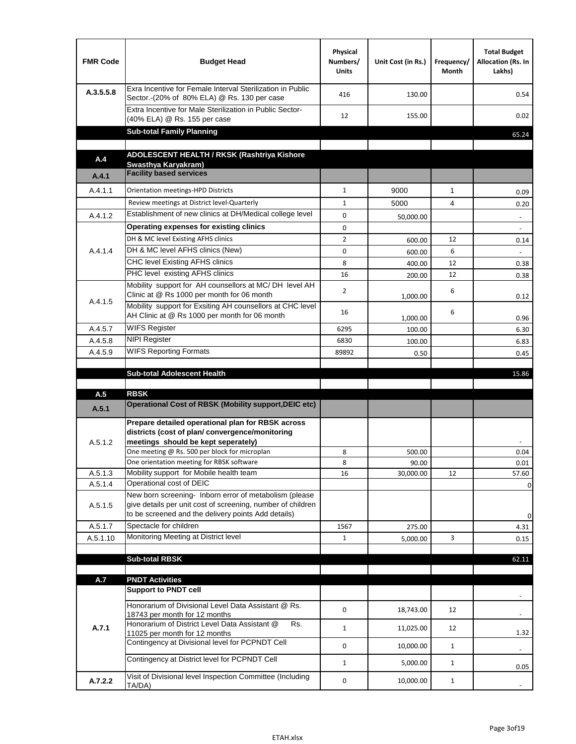| <b>FMR Code</b> | <b>Budget Head</b>                                                                                                                                                                          | Physical<br>Numbers/<br><b>Units</b> | Unit Cost (in Rs.) | Frequency/<br><b>Month</b> | <b>Total Budget</b><br>Allocation (Rs. In<br>Lakhs) |
|-----------------|---------------------------------------------------------------------------------------------------------------------------------------------------------------------------------------------|--------------------------------------|--------------------|----------------------------|-----------------------------------------------------|
| A.3.5.5.8       | Exra Incentive for Female Interval Sterilization in Public<br>Sector.-(20% of 80% ELA) @ Rs. 130 per case                                                                                   | 416                                  | 130.00             |                            | 0.54                                                |
|                 | Extra Incentive for Male Sterilization in Public Sector-<br>(40% ELA) @ Rs. 155 per case                                                                                                    | 12                                   | 155.00             |                            | 0.02                                                |
|                 | <b>Sub-total Family Planning</b>                                                                                                                                                            |                                      |                    |                            | 65.24                                               |
|                 | ADOLESCENT HEALTH / RKSK (Rashtriya Kishore                                                                                                                                                 |                                      |                    |                            |                                                     |
| A.4             | Swasthva Karvakram)                                                                                                                                                                         |                                      |                    |                            |                                                     |
| A.4.1           | <b>Facility based services</b>                                                                                                                                                              |                                      |                    |                            |                                                     |
| A.4.1.1         | Orientation meetings-HPD Districts                                                                                                                                                          | $\mathbf{1}$                         | 9000               | $\mathbf{1}$               | 0.09                                                |
|                 | Review meetings at District level-Quarterly                                                                                                                                                 | $\mathbf{1}$                         | 5000               | 4                          | 0.20                                                |
| A.4.1.2         | Establishment of new clinics at DH/Medical college level                                                                                                                                    | 0                                    | 50,000.00          |                            | $\overline{\phantom{a}}$                            |
|                 | Operating expenses for existing clinics                                                                                                                                                     | 0                                    |                    |                            |                                                     |
|                 | DH & MC level Existing AFHS clinics                                                                                                                                                         | $\overline{2}$                       | 600.00             | 12                         | 0.14                                                |
| A.4.1.4         | DH & MC level AFHS clinics (New)                                                                                                                                                            | 0                                    | 600.00             | 6                          |                                                     |
|                 | CHC level Existing AFHS clinics                                                                                                                                                             | 8                                    | 400.00             | 12                         | 0.38                                                |
|                 | PHC level existing AFHS clinics                                                                                                                                                             | 16                                   | 200.00             | 12                         | 0.38                                                |
| A.4.1.5         | Mobility support for AH counsellors at MC/DH level AH<br>Clinic at @ Rs 1000 per month for 06 month                                                                                         | $\overline{2}$                       | 1,000.00           | 6                          | 0.12                                                |
|                 | Mobility support for Exsiting AH counsellors at CHC level<br>AH Clinic at @ Rs 1000 per month for 06 month                                                                                  | 16                                   |                    | 6                          | 0.96                                                |
| A.4.5.7         | <b>WIFS Register</b>                                                                                                                                                                        | 6295                                 | 1,000.00<br>100.00 |                            | 6.30                                                |
| A.4.5.8         | <b>NIPI Register</b>                                                                                                                                                                        | 6830                                 | 100.00             |                            | 6.83                                                |
| A.4.5.9         | <b>WIFS Reporting Formats</b>                                                                                                                                                               | 89892                                | 0.50               |                            | 0.45                                                |
|                 |                                                                                                                                                                                             |                                      |                    |                            |                                                     |
|                 | <b>Sub-total Adolescent Health</b>                                                                                                                                                          |                                      |                    |                            | 15.86                                               |
| A.5             | <b>RBSK</b>                                                                                                                                                                                 |                                      |                    |                            |                                                     |
| A.5.1           | <b>Operational Cost of RBSK (Mobility support, DEIC etc)</b>                                                                                                                                |                                      |                    |                            |                                                     |
| A.5.1.2         | Prepare detailed operational plan for RBSK across<br>districts (cost of plan/convergence/monitoring<br>meetings should be kept seperately)<br>One meeting @ Rs. 500 per block for microplan |                                      | 500.00             |                            | 0.04                                                |
|                 | One orientation meeting for RBSK software                                                                                                                                                   | 8<br>8                               | 90.00              |                            | 0.01                                                |
| A.5.1.3         | Mobility support for Mobile health team                                                                                                                                                     | 16                                   | 30,000.00          | 12                         | 57.60                                               |
| A.5.1.4         | Operational cost of DEIC                                                                                                                                                                    |                                      |                    |                            | $\mathbf 0$                                         |
| A.5.1.5         | New born screening- Inborn error of metabolism (please<br>give details per unit cost of screening, number of children<br>to be screened and the delivery points Add details)                |                                      |                    |                            | 0                                                   |
| A.5.1.7         | Spectacle for children                                                                                                                                                                      | 1567                                 | 275.00             |                            | 4.31                                                |
| A.5.1.10        | Monitoring Meeting at District level                                                                                                                                                        | $\mathbf{1}$                         | 5,000.00           | 3                          | 0.15                                                |
|                 |                                                                                                                                                                                             |                                      |                    |                            |                                                     |
|                 | <b>Sub-total RBSK</b>                                                                                                                                                                       |                                      |                    |                            | 62.11                                               |
| A.7             | <b>PNDT Activities</b>                                                                                                                                                                      |                                      |                    |                            |                                                     |
|                 | <b>Support to PNDT cell</b>                                                                                                                                                                 |                                      |                    |                            |                                                     |
|                 | Honorarium of Divisional Level Data Assistant @ Rs.<br>18743 per month for 12 months                                                                                                        | 0                                    | 18,743.00          | 12                         |                                                     |
| A.7.1           | Honorarium of District Level Data Assistant @<br>Rs.<br>11025 per month for 12 months                                                                                                       | $\mathbf{1}$                         | 11,025.00          | 12                         | 1.32                                                |
|                 | Contingency at Divisional level for PCPNDT Cell                                                                                                                                             | 0                                    | 10,000.00          | $\mathbf{1}$               | $\overline{\phantom{a}}$                            |
|                 | Contingency at District level for PCPNDT Cell                                                                                                                                               | $\mathbf{1}$                         | 5,000.00           | $\mathbf{1}$               | 0.05                                                |
| A.7.2.2         | Visit of Divisional level Inspection Committee (Including<br>TA/DA)                                                                                                                         | 0                                    | 10,000.00          | $\mathbf{1}$               |                                                     |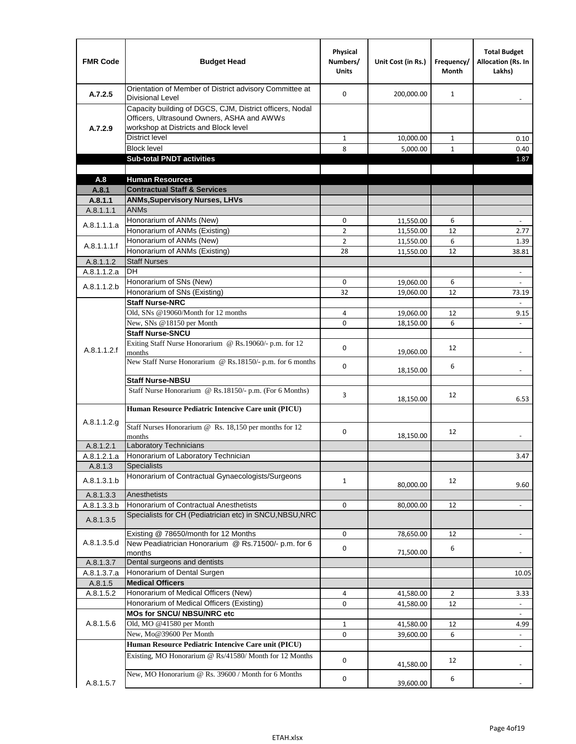| <b>FMR Code</b>          | <b>Budget Head</b>                                                                                                                              | Physical<br>Numbers/<br><b>Units</b> | Unit Cost (in Rs.) | Frequency/<br>Month | <b>Total Budget</b><br>Allocation (Rs. In<br>Lakhs) |
|--------------------------|-------------------------------------------------------------------------------------------------------------------------------------------------|--------------------------------------|--------------------|---------------------|-----------------------------------------------------|
| A.7.2.5                  | Orientation of Member of District advisory Committee at<br>Divisional Level                                                                     | $\Omega$                             | 200,000.00         | $\mathbf{1}$        | $\overline{\phantom{a}}$                            |
| A.7.2.9                  | Capacity building of DGCS, CJM, District officers, Nodal<br>Officers, Ultrasound Owners, ASHA and AWWs<br>workshop at Districts and Block level |                                      |                    |                     |                                                     |
|                          | <b>District level</b>                                                                                                                           | $\mathbf{1}$                         | 10,000.00          | $\mathbf{1}$        | 0.10                                                |
|                          | <b>Block level</b>                                                                                                                              | 8                                    | 5,000.00           | $\mathbf{1}$        | 0.40                                                |
|                          | <b>Sub-total PNDT activities</b>                                                                                                                |                                      |                    |                     | 1.87                                                |
|                          |                                                                                                                                                 |                                      |                    |                     |                                                     |
| A.8                      | <b>Human Resources</b>                                                                                                                          |                                      |                    |                     |                                                     |
| A.8.1                    | <b>Contractual Staff &amp; Services</b>                                                                                                         |                                      |                    |                     |                                                     |
| A.8.1.1                  | <b>ANMs, Supervisory Nurses, LHVs</b>                                                                                                           |                                      |                    |                     |                                                     |
| A.8.1.1.1                | <b>ANMs</b>                                                                                                                                     |                                      |                    |                     |                                                     |
| A.8.1.1.1.a              | Honorarium of ANMs (New)                                                                                                                        | 0                                    | 11,550.00          | 6                   | $\overline{\phantom{a}}$                            |
|                          | Honorarium of ANMs (Existing)                                                                                                                   | $\overline{2}$                       | 11,550.00          | 12                  | 2.77                                                |
| A.8.1.1.1.f              | Honorarium of ANMs (New)                                                                                                                        | $\overline{2}$                       | 11,550.00          | 6                   | 1.39                                                |
|                          | Honorarium of ANMs (Existing)<br><b>Staff Nurses</b>                                                                                            | 28                                   | 11,550.00          | 12                  | 38.81                                               |
| A.8.1.1.2                | <b>DH</b>                                                                                                                                       |                                      |                    |                     |                                                     |
| A.8.1.1.2.a              | Honorarium of SNs (New)                                                                                                                         | 0                                    |                    |                     | $\frac{1}{2}$                                       |
| A.8.1.1.2.b              | Honorarium of SNs (Existing)                                                                                                                    | 32                                   | 19,060.00          | 6<br>12             |                                                     |
|                          | <b>Staff Nurse-NRC</b>                                                                                                                          |                                      | 19,060.00          |                     | 73.19<br>$\frac{1}{2}$                              |
|                          | Old, SNs @19060/Month for 12 months                                                                                                             | 4                                    | 19,060.00          | 12                  | 9.15                                                |
|                          | New, SNs @18150 per Month                                                                                                                       | 0                                    | 18,150.00          | 6                   |                                                     |
|                          | <b>Staff Nurse-SNCU</b>                                                                                                                         |                                      |                    |                     |                                                     |
| A.8.1.1.2.f              | Exiting Staff Nurse Honorarium @ Rs.19060/- p.m. for 12<br>months                                                                               | 0                                    | 19,060.00          | 12                  |                                                     |
|                          | New Staff Nurse Honorarium @ Rs.18150/- p.m. for 6 months                                                                                       | 0                                    | 18,150.00          | 6                   |                                                     |
|                          | <b>Staff Nurse-NBSU</b>                                                                                                                         |                                      |                    |                     |                                                     |
|                          | Staff Nurse Honorarium @ Rs.18150/- p.m. (For 6 Months)                                                                                         | 3                                    | 18,150.00          | 12                  | 6.53                                                |
| A.8.1.1.2.g              | Human Resource Pediatric Intencive Care unit (PICU)                                                                                             |                                      |                    |                     |                                                     |
|                          | Staff Nurses Honorarium @ $\overline{Rs. 18,150}$ per months for 12<br>months                                                                   | 0                                    | 18,150.00          | 12                  |                                                     |
| A.8.1.2.1                | <b>Laboratory Technicians</b>                                                                                                                   |                                      |                    |                     |                                                     |
| A.8.1.2.1.a              | Honorarium of Laboratory Technician                                                                                                             |                                      |                    |                     | 3.47                                                |
| A.8.1.3                  | <b>Specialists</b>                                                                                                                              |                                      |                    |                     |                                                     |
| A.8.1.3.1.b              | Honorarium of Contractual Gynaecologists/Surgeons<br>Anesthetists                                                                               | $\mathbf{1}$                         | 80,000.00          | 12                  | 9.60                                                |
| A.8.1.3.3<br>A.8.1.3.3.b | Honorarium of Contractual Anesthetists                                                                                                          | 0                                    | 80,000.00          | 12                  |                                                     |
| A.8.1.3.5                | Specialists for CH (Pediatrician etc) in SNCU, NBSU, NRC                                                                                        |                                      |                    |                     | $\overline{\phantom{a}}$                            |
|                          | Existing @ 78650/month for 12 Months                                                                                                            | 0                                    | 78,650.00          | 12                  | $\blacksquare$                                      |
| A.8.1.3.5.d              | New Peadiatrician Honorarium @ Rs.71500/- p.m. for 6<br>months                                                                                  | 0                                    | 71,500.00          | 6                   |                                                     |
| A.8.1.3.7                | Dental surgeons and dentists                                                                                                                    |                                      |                    |                     |                                                     |
| A.8.1.3.7.a              | Honorarium of Dental Surgen                                                                                                                     |                                      |                    |                     | 10.05                                               |
| A.8.1.5                  | <b>Medical Officers</b>                                                                                                                         |                                      |                    |                     |                                                     |
| A.8.1.5.2                | Honorarium of Medical Officers (New)                                                                                                            | 4                                    | 41,580.00          | $\overline{2}$      | 3.33                                                |
|                          | Honorarium of Medical Officers (Existing)                                                                                                       | 0                                    | 41,580.00          | 12                  |                                                     |
|                          | MOs for SNCU/ NBSU/NRC etc                                                                                                                      |                                      |                    |                     |                                                     |
| A.8.1.5.6                | Old, MO @41580 per Month                                                                                                                        | $1\,$                                | 41,580.00          | 12                  | 4.99                                                |
|                          | New, Mo@39600 Per Month                                                                                                                         | 0                                    | 39,600.00          | 6                   | $\overline{\phantom{a}}$                            |
|                          | Human Resource Pediatric Intencive Care unit (PICU)                                                                                             |                                      |                    |                     |                                                     |
|                          | Existing, MO Honorarium @ Rs/41580/ Month for 12 Months                                                                                         | $\mathbf 0$                          | 41,580.00          | 12                  |                                                     |
| A.8.1.5.7                | New, MO Honorarium @ Rs. 39600 / Month for 6 Months                                                                                             | 0                                    | 39,600.00          | 6                   |                                                     |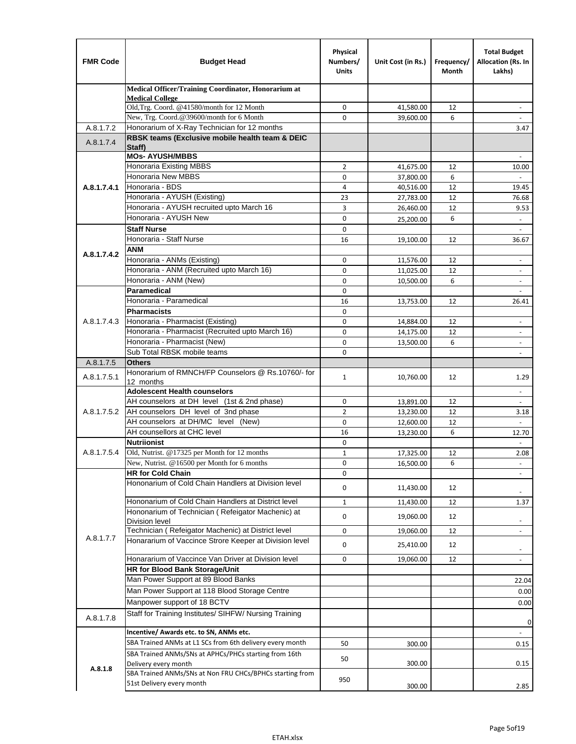| <b>FMR Code</b> | <b>Budget Head</b>                                                        | Physical<br>Numbers/<br><b>Units</b> | Unit Cost (in Rs.)     | Frequency/<br>Month | <b>Total Budget</b><br>Allocation (Rs. In<br>Lakhs) |
|-----------------|---------------------------------------------------------------------------|--------------------------------------|------------------------|---------------------|-----------------------------------------------------|
|                 | Medical Officer/Training Coordinator, Honorarium at                       |                                      |                        |                     |                                                     |
|                 | <b>Medical College</b><br>Old, Trg. Coord. @41580/month for 12 Month      | $\mathbf 0$                          | 41,580.00              | 12                  | $\overline{\phantom{a}}$                            |
|                 | New, Trg. Coord.@39600/month for 6 Month                                  | $\Omega$                             | 39,600.00              | 6                   |                                                     |
| A.8.1.7.2       | Honorarium of X-Ray Technician for 12 months                              |                                      |                        |                     | 3.47                                                |
| A.8.1.7.4       | RBSK teams (Exclusive mobile health team & DEIC                           |                                      |                        |                     |                                                     |
|                 | Staff)                                                                    |                                      |                        |                     |                                                     |
|                 | <b>MOs- AYUSH/MBBS</b>                                                    |                                      |                        |                     |                                                     |
|                 | <b>Honoraria Existing MBBS</b><br>Honoraria New MBBS                      | $\overline{2}$<br>0                  | 41,675.00<br>37,800.00 | 12<br>6             | 10.00<br>$\blacksquare$                             |
| A.8.1.7.4.1     | Honoraria - BDS                                                           | 4                                    | 40,516.00              | 12                  | 19.45                                               |
|                 | Honoraria - AYUSH (Existing)                                              | 23                                   | 27,783.00              | 12                  | 76.68                                               |
|                 | Honoraria - AYUSH recruited upto March 16                                 | 3                                    | 26,460.00              | 12                  | 9.53                                                |
|                 | Honoraria - AYUSH New                                                     | $\mathbf 0$                          | 25,200.00              | 6                   | $\overline{\phantom{a}}$                            |
|                 | <b>Staff Nurse</b>                                                        | $\Omega$                             |                        |                     |                                                     |
|                 | Honoraria - Staff Nurse                                                   | 16                                   | 19,100.00              | 12                  | 36.67                                               |
| A.8.1.7.4.2     | <b>ANM</b>                                                                |                                      |                        |                     |                                                     |
|                 | Honoraria - ANMs (Existing)                                               | $\mathbf 0$                          | 11,576.00              | 12                  | ÷,                                                  |
|                 | Honoraria - ANM (Recruited upto March 16)                                 | 0                                    | 11,025.00              | 12                  | $\overline{\phantom{a}}$                            |
|                 | Honoraria - ANM (New)                                                     | $\mathbf 0$                          | 10,500.00              | 6                   |                                                     |
|                 | Paramedical                                                               | $\mathbf 0$                          |                        |                     | $\overline{\phantom{a}}$                            |
|                 | Honoraria - Paramedical<br><b>Pharmacists</b>                             | 16                                   | 13,753.00              | 12                  | 26.41                                               |
| A.8.1.7.4.3     | Honoraria - Pharmacist (Existing)                                         | $\mathbf 0$<br>$\mathbf 0$           |                        | 12                  | $\overline{\phantom{a}}$                            |
|                 | Honoraria - Pharmacist (Recruited upto March 16)                          | 0                                    | 14,884.00<br>14,175.00 | 12                  | $\blacksquare$                                      |
|                 | Honoraria - Pharmacist (New)                                              | $\Omega$                             | 13,500.00              | 6                   | $\overline{\phantom{a}}$                            |
|                 | Sub Total RBSK mobile teams                                               | $\Omega$                             |                        |                     | $\overline{\phantom{a}}$                            |
| A.8.1.7.5       | <b>Others</b>                                                             |                                      |                        |                     |                                                     |
| A.8.1.7.5.1     | Honorarium of RMNCH/FP Counselors @ Rs.10760/- for                        | $\mathbf{1}$                         | 10,760.00              | 12                  | 1.29                                                |
|                 | 12 months                                                                 |                                      |                        |                     |                                                     |
|                 | <b>Adolescent Health counselors</b>                                       |                                      |                        |                     | $\sim$                                              |
|                 | AH counselors at DH level (1st & 2nd phase)                               | 0                                    | 13,891.00              | 12                  |                                                     |
| A.8.1.7.5.2     | AH counselors DH level of 3nd phase<br>AH counselors at DH/MC level (New) | $\overline{2}$<br>$\mathbf 0$        | 13,230.00<br>12,600.00 | 12<br>12            | 3.18                                                |
|                 | AH counsellors at CHC level                                               | 16                                   | 13,230.00              | 6                   | 12.70                                               |
|                 | <b>Nutriionist</b>                                                        | $\mathbf 0$                          |                        |                     | $\blacksquare$                                      |
| A.8.1.7.5.4     | Old, Nutrist. @17325 per Month for 12 months                              | $\mathbf{1}$                         | 17,325.00              | 12                  | 2.08                                                |
|                 | New, Nutrist. $@16500$ per Month for 6 months                             | 0                                    | 16,500.00              | 6                   | $\overline{\phantom{a}}$                            |
|                 | <b>HR for Cold Chain</b>                                                  | 0                                    |                        |                     |                                                     |
|                 | Hononarium of Cold Chain Handlers at Division level                       | 0                                    | 11,430.00              | 12                  |                                                     |
|                 | Hononarium of Cold Chain Handlers at District level                       | $\mathbf{1}$                         | 11,430.00              | 12                  | 1.37                                                |
|                 | Hononarium of Technician (Refeigator Machenic) at                         |                                      |                        |                     |                                                     |
|                 | <b>Division level</b>                                                     | 0                                    | 19,060.00              | 12                  | $\overline{\phantom{a}}$                            |
|                 | Technician (Refeigator Machenic) at District level                        | 0                                    | 19,060.00              | 12                  | $\blacksquare$                                      |
| A.8.1.7.7       | Honararium of Vaccince Strore Keeper at Division level                    | 0                                    | 25,410.00              | 12                  | $\overline{\phantom{a}}$                            |
|                 | Honararium of Vaccince Van Driver at Division level                       | 0                                    | 19,060.00              | 12                  | $\overline{\phantom{a}}$                            |
|                 | HR for Blood Bank Storage/Unit                                            |                                      |                        |                     |                                                     |
|                 | Man Power Support at 89 Blood Banks                                       |                                      |                        |                     | 22.04                                               |
|                 | Man Power Support at 118 Blood Storage Centre                             |                                      |                        |                     | 0.00                                                |
|                 | Manpower support of 18 BCTV                                               |                                      |                        |                     | 0.00                                                |
| A.8.1.7.8       | Staff for Training Institutes/ SIHFW/ Nursing Training                    |                                      |                        |                     |                                                     |
|                 | Incentive/ Awards etc. to SN, ANMs etc.                                   |                                      |                        |                     | 0<br>$\blacksquare$                                 |
|                 | SBA Trained ANMs at L1 SCs from 6th delivery every month                  | 50                                   | 300.00                 |                     | 0.15                                                |
|                 | SBA Trained ANMs/SNs at APHCs/PHCs starting from 16th                     |                                      |                        |                     |                                                     |
|                 | Delivery every month                                                      | 50                                   | 300.00                 |                     | 0.15                                                |
| A.8.1.8         | SBA Trained ANMs/SNs at Non FRU CHCs/BPHCs starting from                  |                                      |                        |                     |                                                     |
|                 | 51st Delivery every month                                                 | 950                                  | 300.00                 |                     | 2.85                                                |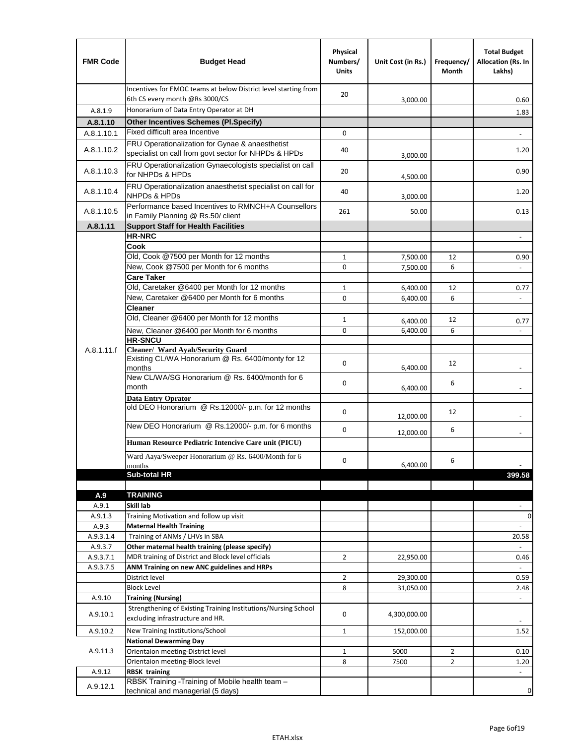| <b>FMR Code</b> | <b>Budget Head</b>                                                                                      | Physical<br>Numbers/<br><b>Units</b> | Unit Cost (in Rs.) | Frequency/<br>Month | <b>Total Budget</b><br>Allocation (Rs. In<br>Lakhs) |
|-----------------|---------------------------------------------------------------------------------------------------------|--------------------------------------|--------------------|---------------------|-----------------------------------------------------|
|                 | Incentives for EMOC teams at below District level starting from<br>6th CS every month @Rs 3000/CS       | 20                                   | 3,000.00           |                     | 0.60                                                |
| A.8.1.9         | Honorarium of Data Entry Operator at DH                                                                 |                                      |                    |                     | 1.83                                                |
| A.8.1.10        | <b>Other Incentives Schemes (Pl.Specify)</b>                                                            |                                      |                    |                     |                                                     |
| A.8.1.10.1      | Fixed difficult area Incentive                                                                          | 0                                    |                    |                     |                                                     |
| A.8.1.10.2      | FRU Operationalization for Gynae & anaesthetist<br>specialist on call from govt sector for NHPDs & HPDs | 40                                   | 3,000.00           |                     | 1.20                                                |
| A.8.1.10.3      | FRU Operationalization Gynaecologists specialist on call<br>for NHPDs & HPDs                            | 20                                   | 4,500.00           |                     | 0.90                                                |
| A.8.1.10.4      | FRU Operationalization anaesthetist specialist on call for<br><b>NHPDs &amp; HPDs</b>                   | 40                                   | 3,000.00           |                     | 1.20                                                |
| A.8.1.10.5      | Performance based Incentives to RMNCH+A Counsellors<br>in Family Planning @ Rs.50/ client               | 261                                  | 50.00              |                     | 0.13                                                |
| A.8.1.11        | <b>Support Staff for Health Facilities</b>                                                              |                                      |                    |                     |                                                     |
|                 | <b>HR-NRC</b>                                                                                           |                                      |                    |                     | $\overline{\phantom{m}}$                            |
|                 | Cook                                                                                                    |                                      |                    |                     |                                                     |
|                 | Old, Cook @7500 per Month for 12 months                                                                 | 1                                    | 7,500.00           | 12                  | 0.90                                                |
|                 | New, Cook @7500 per Month for 6 months                                                                  | 0                                    | 7,500.00           | 6                   | $\blacksquare$                                      |
|                 | <b>Care Taker</b>                                                                                       |                                      |                    |                     |                                                     |
|                 | Old, Caretaker @6400 per Month for 12 months                                                            | 1                                    | 6,400.00           | 12                  | 0.77                                                |
|                 | New, Caretaker @6400 per Month for 6 months                                                             | 0                                    | 6,400.00           | 6                   | $\overline{\phantom{a}}$                            |
|                 | <b>Cleaner</b>                                                                                          |                                      |                    |                     |                                                     |
|                 | Old, Cleaner @6400 per Month for 12 months                                                              | 1                                    | 6,400.00           | 12                  | 0.77                                                |
|                 | New, Cleaner @6400 per Month for 6 months<br><b>HR-SNCU</b>                                             | 0                                    | 6,400.00           | 6                   |                                                     |
| A.8.1.11.f      | Cleaner/ Ward Ayah/Security Guard                                                                       |                                      |                    |                     |                                                     |
|                 | Existing CL/WA Honorarium @ Rs. 6400/monty for 12<br>months                                             | 0                                    | 6,400.00           | 12                  |                                                     |
|                 | New CL/WA/SG Honorarium @ Rs. 6400/month for 6<br>month                                                 | 0                                    | 6,400.00           | 6                   |                                                     |
|                 | <b>Data Entry Oprator</b>                                                                               |                                      |                    |                     |                                                     |
|                 | old DEO Honorarium @ Rs.12000/- p.m. for 12 months                                                      | 0                                    | 12,000.00          | 12                  |                                                     |
|                 | New DEO Honorarium @ Rs.12000/- p.m. for 6 months                                                       | 0                                    | 12,000.00          | 6                   |                                                     |
|                 | Human Resource Pediatric Intencive Care unit (PICU)                                                     |                                      |                    |                     |                                                     |
|                 | Ward Aaya/Sweeper Honorarium @ Rs. 6400/Month for 6                                                     | 0                                    |                    | 6                   |                                                     |
|                 | months<br>Sub-total HR                                                                                  |                                      | 6,400.00           |                     | 399.58                                              |
|                 |                                                                                                         |                                      |                    |                     |                                                     |
| A.9             | <b>TRAINING</b>                                                                                         |                                      |                    |                     |                                                     |
| A.9.1           | Skill lab                                                                                               |                                      |                    |                     |                                                     |
| A.9.1.3         | Training Motivation and follow up visit                                                                 |                                      |                    |                     | 0                                                   |
| A.9.3           | <b>Maternal Health Training</b>                                                                         |                                      |                    |                     | $\blacksquare$                                      |
| A.9.3.1.4       | Training of ANMs / LHVs in SBA                                                                          |                                      |                    |                     | 20.58                                               |
| A.9.3.7         | Other maternal health training (please specify)                                                         |                                      |                    |                     |                                                     |
| A.9.3.7.1       | MDR training of District and Block level officials                                                      | $\overline{2}$                       | 22,950.00          |                     | 0.46                                                |
| A.9.3.7.5       | ANM Training on new ANC guidelines and HRPs                                                             |                                      |                    |                     |                                                     |
|                 | District level                                                                                          | 2                                    | 29,300.00          |                     | 0.59                                                |
|                 | <b>Block Level</b>                                                                                      | 8                                    | 31,050.00          |                     | 2.48                                                |
| A.9.10          | <b>Training (Nursing)</b><br>Strengthening of Existing Training Institutions/Nursing School             |                                      |                    |                     |                                                     |
| A.9.10.1        | excluding infrastructure and HR.                                                                        | 0                                    | 4,300,000.00       |                     |                                                     |
| A.9.10.2        | New Training Institutions/School                                                                        | $\mathbf{1}$                         | 152,000.00         |                     | 1.52                                                |
|                 | <b>National Dewarming Day</b>                                                                           |                                      |                    |                     |                                                     |
| A.9.11.3        | Orientaion meeting-District level                                                                       | 1                                    | 5000               | $\overline{2}$      | 0.10                                                |
|                 | Orientaion meeting-Block level                                                                          | 8                                    | 7500               | $\overline{2}$      | 1.20                                                |
| A.9.12          | <b>RBSK training</b>                                                                                    |                                      |                    |                     |                                                     |
| A.9.12.1        | RBSK Training -Training of Mobile health team -<br>technical and managerial (5 days)                    |                                      |                    |                     | 0                                                   |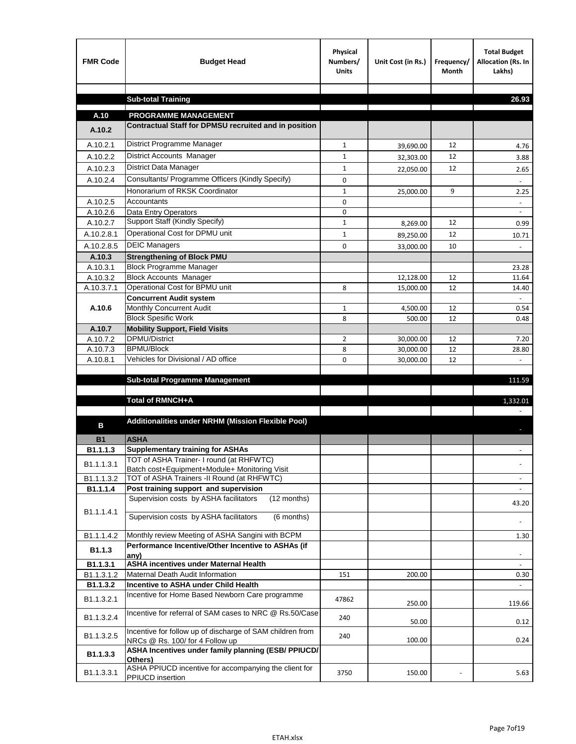| <b>FMR Code</b>    | <b>Budget Head</b>                                                                             | Physical<br>Numbers/<br><b>Units</b> | Unit Cost (in Rs.)     | Frequency/<br><b>Month</b> | <b>Total Budget</b><br>Allocation (Rs. In<br>Lakhs) |
|--------------------|------------------------------------------------------------------------------------------------|--------------------------------------|------------------------|----------------------------|-----------------------------------------------------|
|                    |                                                                                                |                                      |                        |                            |                                                     |
|                    | <b>Sub-total Training</b>                                                                      |                                      |                        |                            | 26.93                                               |
| A.10               | <b>PROGRAMME MANAGEMENT</b>                                                                    |                                      |                        |                            |                                                     |
| A.10.2             | Contractual Staff for DPMSU recruited and in position                                          |                                      |                        |                            |                                                     |
| A.10.2.1           | District Programme Manager                                                                     | $\mathbf{1}$                         |                        | 12                         |                                                     |
| A.10.2.2           | District Accounts Manager                                                                      | 1                                    | 39,690.00              | 12                         | 4.76                                                |
| A.10.2.3           | District Data Manager                                                                          | $\mathbf{1}$                         | 32,303.00              | 12                         | 3.88                                                |
| A.10.2.4           | Consultants/ Programme Officers (Kindly Specify)                                               | $\mathbf 0$                          | 22,050.00              |                            | 2.65                                                |
|                    | Honorarium of RKSK Coordinator                                                                 | $\mathbf{1}$                         |                        | 9                          | 2.25                                                |
| A.10.2.5           | Accountants                                                                                    | 0                                    | 25,000.00              |                            |                                                     |
| A.10.2.6           | Data Entry Operators                                                                           | 0                                    |                        |                            | $\overline{\phantom{a}}$                            |
| A.10.2.7           | Support Staff (Kindly Specify)                                                                 | $\mathbf{1}$                         | 8,269.00               | 12                         | 0.99                                                |
| A.10.2.8.1         | Operational Cost for DPMU unit                                                                 | $\mathbf{1}$                         | 89,250.00              | 12                         | 10.71                                               |
| A.10.2.8.5         | <b>DEIC Managers</b>                                                                           | $\mathbf 0$                          | 33,000.00              | 10                         |                                                     |
| A.10.3             | <b>Strengthening of Block PMU</b>                                                              |                                      |                        |                            |                                                     |
| A.10.3.1           | <b>Block Programme Manager</b>                                                                 |                                      |                        |                            | 23.28                                               |
| A.10.3.2           | <b>Block Accounts Manager</b>                                                                  |                                      | 12,128.00              | 12                         | 11.64                                               |
| A.10.3.7.1         | Operational Cost for BPMU unit                                                                 | 8                                    | 15,000.00              | 12                         | 14.40                                               |
|                    | <b>Concurrent Audit system</b>                                                                 |                                      |                        |                            |                                                     |
| A.10.6             | Monthly Concurrent Audit                                                                       | $\mathbf{1}$                         | 4,500.00               | 12                         | 0.54                                                |
|                    | <b>Block Spesific Work</b>                                                                     | 8                                    | 500.00                 | 12                         | 0.48                                                |
| A.10.7<br>A.10.7.2 | <b>Mobility Support, Field Visits</b><br>DPMU/District                                         |                                      |                        |                            |                                                     |
| A.10.7.3           | <b>BPMU/Block</b>                                                                              | 2<br>8                               | 30,000.00<br>30,000.00 | 12<br>12                   | 7.20<br>28.80                                       |
| A.10.8.1           | Vehicles for Divisional / AD office                                                            | 0                                    | 30,000.00              | 12                         |                                                     |
|                    |                                                                                                |                                      |                        |                            |                                                     |
|                    | <b>Sub-total Programme Management</b>                                                          |                                      |                        |                            | 111.59                                              |
|                    |                                                                                                |                                      |                        |                            |                                                     |
|                    | Total of RMNCH+A                                                                               |                                      |                        |                            | 1,332.01                                            |
| в                  | Additionalities under NRHM (Mission Flexible Pool)                                             |                                      |                        |                            |                                                     |
| <b>B1</b>          | <b>ASHA</b>                                                                                    |                                      |                        |                            |                                                     |
| B1.1.1.3           | <b>Supplementary training for ASHAs</b>                                                        |                                      |                        |                            |                                                     |
| B1.1.1.3.1         | TOT of ASHA Trainer- I round (at RHFWTC)                                                       |                                      |                        |                            |                                                     |
|                    | Batch cost+Equipment+Module+ Monitoring Visit                                                  |                                      |                        |                            |                                                     |
| B1.1.1.3.2         | TOT of ASHA Trainers -II Round (at RHFWTC)                                                     |                                      |                        |                            |                                                     |
| B1.1.1.4           | Post training support and supervision<br>Supervision costs by ASHA facilitators<br>(12 months) |                                      |                        |                            | $\sim$                                              |
|                    |                                                                                                |                                      |                        |                            | 43.20                                               |
| B1.1.1.4.1         | Supervision costs by ASHA facilitators<br>(6 months)                                           |                                      |                        |                            |                                                     |
| B1.1.1.4.2         | Monthly review Meeting of ASHA Sangini with BCPM                                               |                                      |                        |                            | 1.30                                                |
| B <sub>1.1.3</sub> | Performance Incentive/Other Incentive to ASHAs (if<br>any)                                     |                                      |                        |                            |                                                     |
| B1.1.3.1           | <b>ASHA incentives under Maternal Health</b>                                                   |                                      |                        |                            |                                                     |
| B1.1.3.1.2         | Maternal Death Audit Information                                                               | 151                                  | 200.00                 |                            | 0.30                                                |
| B1.1.3.2           | Incentive to ASHA under Child Health                                                           |                                      |                        |                            | $\omega$                                            |
| B1.1.3.2.1         | Incentive for Home Based Newborn Care programme                                                | 47862                                | 250.00                 |                            | 119.66                                              |
| B1.1.3.2.4         | Incentive for referral of SAM cases to NRC @ Rs.50/Case                                        | 240                                  | 50.00                  |                            | 0.12                                                |
| B1.1.3.2.5         | Incentive for follow up of discharge of SAM children from<br>NRCs @ Rs. 100/ for 4 Follow up   | 240                                  | 100.00                 |                            | 0.24                                                |
| B1.1.3.3           | ASHA Incentives under family planning (ESB/ PPIUCD/<br>Others)                                 |                                      |                        |                            |                                                     |
| B1.1.3.3.1         | ASHA PPIUCD incentive for accompanying the client for<br>PPIUCD insertion                      | 3750                                 | 150.00                 |                            | 5.63                                                |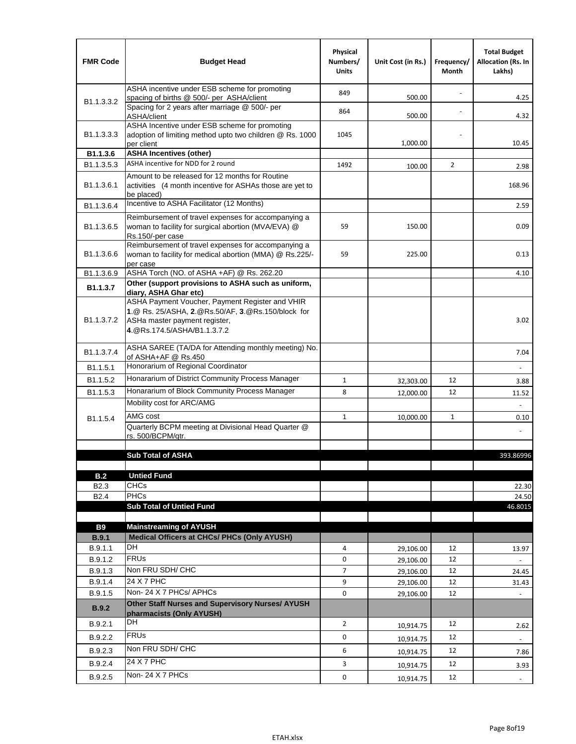| <b>FMR Code</b>            | <b>Budget Head</b>                                                                                                                                                    | Physical<br>Numbers/<br><b>Units</b> | Unit Cost (in Rs.) | Frequency/<br>Month | <b>Total Budget</b><br><b>Allocation (Rs. In</b><br>Lakhs) |
|----------------------------|-----------------------------------------------------------------------------------------------------------------------------------------------------------------------|--------------------------------------|--------------------|---------------------|------------------------------------------------------------|
|                            | ASHA incentive under ESB scheme for promoting<br>spacing of births @ 500/- per ASHA/client                                                                            | 849                                  | 500.00             |                     | 4.25                                                       |
| B <sub>1.1</sub> , 3, 3, 2 | Spacing for 2 years after marriage @ 500/- per<br>ASHA/client                                                                                                         | 864                                  | 500.00             |                     | 4.32                                                       |
| B1.1.3.3.3                 | ASHA Incentive under ESB scheme for promoting<br>adoption of limiting method upto two children @ Rs. 1000<br>per client                                               | 1045                                 | 1,000.00           |                     | 10.45                                                      |
| B1.1.3.6                   | <b>ASHA Incentives (other)</b>                                                                                                                                        |                                      |                    |                     |                                                            |
| B <sub>1.1</sub> , 3, 5, 3 | ASHA incentive for NDD for 2 round                                                                                                                                    | 1492                                 | 100.00             | $\overline{2}$      | 2.98                                                       |
| B <sub>1.1</sub> .3.6.1    | Amount to be released for 12 months for Routine<br>activities (4 month incentive for ASHAs those are yet to<br>be placed)                                             |                                      |                    |                     | 168.96                                                     |
| B1.1.3.6.4                 | Incentive to ASHA Facilitator (12 Months)                                                                                                                             |                                      |                    |                     | 2.59                                                       |
| B <sub>1.1</sub> .3.6.5    | Reimbursement of travel expenses for accompanying a<br>woman to facility for surgical abortion (MVA/EVA) @<br>Rs.150/-per case                                        | 59                                   | 150.00             |                     | 0.09                                                       |
| B <sub>1.1</sub> .3.6.6    | Reimbursement of travel expenses for accompanying a<br>woman to facility for medical abortion (MMA) @ Rs.225/-<br>per case                                            | 59                                   | 225.00             |                     | 0.13                                                       |
| B1.1.3.6.9                 | ASHA Torch (NO. of ASHA +AF) @ Rs. 262.20                                                                                                                             |                                      |                    |                     | 4.10                                                       |
| B1.1.3.7                   | Other (support provisions to ASHA such as uniform,<br>diary, ASHA Ghar etc)                                                                                           |                                      |                    |                     |                                                            |
| B <sub>1.1</sub> .3.7.2    | ASHA Payment Voucher, Payment Register and VHIR<br>1.@ Rs. 25/ASHA, 2.@Rs.50/AF, 3.@Rs.150/block for<br>ASHa master payment register,<br>4. @Rs.174.5/ASHA/B1.1.3.7.2 |                                      |                    |                     | 3.02                                                       |
| B <sub>1.1</sub> .3.7.4    | ASHA SAREE (TA/DA for Attending monthly meeting) No.<br>of ASHA+AF @ Rs.450                                                                                           |                                      |                    |                     | 7.04                                                       |
| B <sub>1.1</sub> .5.1      | Honorarium of Regional Coordinator                                                                                                                                    |                                      |                    |                     |                                                            |
| B1.1.5.2                   | Honararium of District Community Process Manager                                                                                                                      | 1                                    | 32,303.00          | 12                  | 3.88                                                       |
| B <sub>1.1</sub> .5.3      | Honararium of Block Community Process Manager                                                                                                                         | 8                                    | 12,000.00          | 12                  | 11.52                                                      |
|                            | Mobility cost for ARC/AMG                                                                                                                                             |                                      |                    |                     |                                                            |
| B <sub>1.1.5.4</sub>       | AMG cost                                                                                                                                                              | 1                                    | 10,000.00          | $\mathbf{1}$        | 0.10                                                       |
|                            | Quarterly BCPM meeting at Divisional Head Quarter @<br>rs. 500/BCPM/qtr.                                                                                              |                                      |                    |                     |                                                            |
|                            |                                                                                                                                                                       |                                      |                    |                     |                                                            |
|                            | <b>Sub Total of ASHA</b>                                                                                                                                              |                                      |                    |                     | 393.86996                                                  |
| B.2                        | <b>Untied Fund</b>                                                                                                                                                    |                                      |                    |                     |                                                            |
| B <sub>2.3</sub>           | <b>CHCs</b>                                                                                                                                                           |                                      |                    |                     | 22.30                                                      |
| <b>B2.4</b>                | <b>PHCs</b>                                                                                                                                                           |                                      |                    |                     | 24.50                                                      |
|                            | <b>Sub Total of Untied Fund</b>                                                                                                                                       |                                      |                    |                     | 46.8015                                                    |
| <b>B9</b>                  | <b>Mainstreaming of AYUSH</b>                                                                                                                                         |                                      |                    |                     |                                                            |
| B.9.1                      | Medical Officers at CHCs/ PHCs (Only AYUSH)                                                                                                                           |                                      |                    |                     |                                                            |
| B.9.1.1                    | <b>DH</b>                                                                                                                                                             | 4                                    | 29,106.00          | 12                  | 13.97                                                      |
| B.9.1.2                    | <b>FRUs</b>                                                                                                                                                           | 0                                    | 29,106.00          | 12                  |                                                            |
| B.9.1.3                    | Non FRU SDH/ CHC                                                                                                                                                      | 7                                    | 29,106.00          | 12                  | 24.45                                                      |
| B.9.1.4                    | 24 X 7 PHC                                                                                                                                                            | 9                                    | 29,106.00          | 12                  | 31.43                                                      |
| B.9.1.5                    | Non-24 X 7 PHCs/ APHCs                                                                                                                                                | 0                                    | 29,106.00          | 12                  |                                                            |
| B.9.2                      | <b>Other Staff Nurses and Supervisory Nurses/ AYUSH</b><br>pharmacists (Only AYUSH)                                                                                   |                                      |                    |                     |                                                            |
| B.9.2.1                    | DH                                                                                                                                                                    | $\overline{2}$                       | 10,914.75          | 12                  | 2.62                                                       |
| B.9.2.2                    | <b>FRUs</b>                                                                                                                                                           | 0                                    | 10,914.75          | 12                  |                                                            |
| B.9.2.3                    | Non FRU SDH/ CHC                                                                                                                                                      | 6                                    | 10,914.75          | 12                  | 7.86                                                       |
| B.9.2.4                    | 24 X 7 PHC                                                                                                                                                            | 3                                    | 10,914.75          | 12                  | 3.93                                                       |
| B.9.2.5                    | Non-24 X 7 PHCs                                                                                                                                                       | 0                                    | 10,914.75          | 12                  | $\overline{\phantom{a}}$                                   |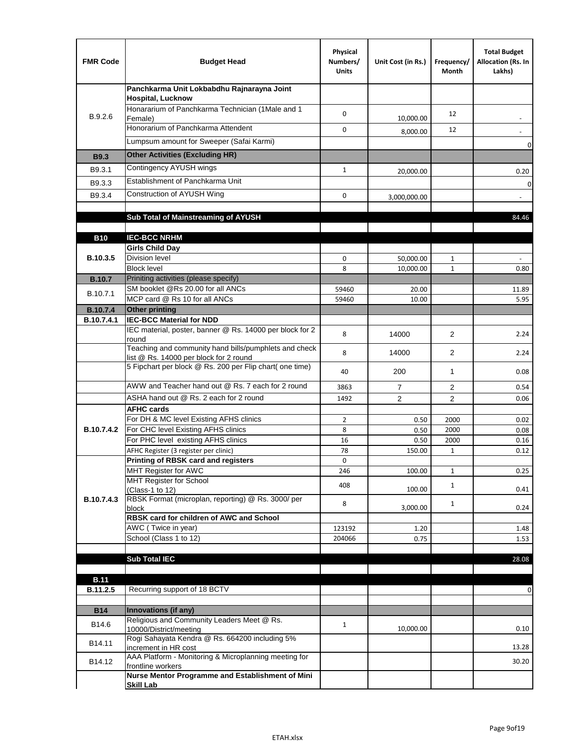| <b>FMR Code</b> | <b>Budget Head</b>                                                                              | Physical<br>Numbers/<br><b>Units</b> | Unit Cost (in Rs.) | Frequency/<br>Month | <b>Total Budget</b><br>Allocation (Rs. In<br>Lakhs) |
|-----------------|-------------------------------------------------------------------------------------------------|--------------------------------------|--------------------|---------------------|-----------------------------------------------------|
|                 | Panchkarma Unit Lokbabdhu Rajnarayna Joint<br><b>Hospital, Lucknow</b>                          |                                      |                    |                     |                                                     |
| B.9.2.6         | Honararium of Panchkarma Technician (1Male and 1<br>Female)                                     | 0                                    | 10,000.00          | 12                  |                                                     |
|                 | Honorarium of Panchkarma Attendent                                                              | 0                                    | 8,000.00           | 12                  |                                                     |
|                 | Lumpsum amount for Sweeper (Safai Karmi)                                                        |                                      |                    |                     | 0                                                   |
| <b>B9.3</b>     | <b>Other Activities (Excluding HR)</b>                                                          |                                      |                    |                     |                                                     |
| B9.3.1          | Contingency AYUSH wings                                                                         | $\mathbf{1}$                         | 20,000.00          |                     | 0.20                                                |
| B9.3.3          | Establishment of Panchkarma Unit                                                                |                                      |                    |                     | $\mathbf 0$                                         |
| B9.3.4          | Construction of AYUSH Wing                                                                      | 0                                    | 3,000,000.00       |                     |                                                     |
|                 |                                                                                                 |                                      |                    |                     |                                                     |
|                 | Sub Total of Mainstreaming of AYUSH                                                             |                                      |                    |                     | 84.46                                               |
|                 | <b>IEC-BCC NRHM</b>                                                                             |                                      |                    |                     |                                                     |
| <b>B10</b>      | <b>Girls Child Day</b>                                                                          |                                      |                    |                     |                                                     |
| B.10.3.5        | <b>Division level</b>                                                                           | 0                                    | 50,000.00          | 1                   |                                                     |
|                 | <b>Block level</b>                                                                              | 8                                    | 10,000.00          | $\mathbf{1}$        | 0.80                                                |
| <b>B.10.7</b>   | Priniting activities (please specify)                                                           |                                      |                    |                     |                                                     |
| B.10.7.1        | SM booklet @Rs 20.00 for all ANCs<br>MCP card @ Rs 10 for all ANCs                              | 59460<br>59460                       | 20.00              |                     | 11.89                                               |
| <b>B.10.7.4</b> | <b>Other printing</b>                                                                           |                                      | 10.00              |                     | 5.95                                                |
| B.10.7.4.1      | <b>IEC-BCC Material for NDD</b>                                                                 |                                      |                    |                     |                                                     |
|                 | IEC material, poster, banner @ Rs. 14000 per block for 2<br>round                               | 8                                    | 14000              | $\overline{2}$      | 2.24                                                |
|                 | Teaching and community hand bills/pumphlets and check<br>list @ Rs. 14000 per block for 2 round | 8                                    | 14000              | 2                   | 2.24                                                |
|                 | 5 Fipchart per block @ Rs. 200 per Flip chart( one time)                                        | 40                                   | 200                | 1                   | 0.08                                                |
|                 | AWW and Teacher hand out @ Rs. 7 each for 2 round                                               | 3863                                 | $\overline{7}$     | 2                   | 0.54                                                |
|                 | ASHA hand out @ Rs. 2 each for 2 round                                                          | 1492                                 | $\overline{2}$     | $\overline{2}$      | 0.06                                                |
|                 | <b>AFHC cards</b><br>For DH & MC level Existing AFHS clinics                                    | $\overline{2}$                       |                    | 2000                | 0.02                                                |
| B.10.7.4.2      | For CHC level Existing AFHS clinics                                                             | 8                                    | 0.50<br>0.50       | 2000                | 0.08                                                |
|                 | For PHC level existing AFHS clinics                                                             | 16                                   | 0.50               | 2000                | 0.16                                                |
|                 | AFHC Register (3 register per clinic)                                                           | 78                                   | 150.00             | $\mathbf{1}$        | 0.12                                                |
|                 | Printing of RBSK card and registers                                                             | 0                                    |                    |                     |                                                     |
|                 | MHT Register for AWC<br>MHT Register for School                                                 | 246                                  | 100.00             | $\mathbf{1}$        | 0.25                                                |
|                 | (Class-1 to 12)                                                                                 | 408                                  | 100.00             | $\mathbf{1}$        | 0.41                                                |
| B.10.7.4.3      | RBSK Format (microplan, reporting) @ Rs. 3000/ per                                              | 8                                    |                    | $\mathbf{1}$        |                                                     |
|                 | block<br>RBSK card for children of AWC and School                                               |                                      | 3,000.00           |                     | 0.24                                                |
|                 | AWC (Twice in year)                                                                             | 123192                               | 1.20               |                     | 1.48                                                |
|                 | School (Class 1 to 12)                                                                          | 204066                               | 0.75               |                     | 1.53                                                |
|                 |                                                                                                 |                                      |                    |                     |                                                     |
|                 | <b>Sub Total IEC</b>                                                                            |                                      |                    |                     | 28.08                                               |
| <b>B.11</b>     |                                                                                                 |                                      |                    |                     |                                                     |
| B.11.2.5        | Recurring support of 18 BCTV                                                                    |                                      |                    |                     | 0                                                   |
|                 |                                                                                                 |                                      |                    |                     |                                                     |
| <b>B14</b>      | Innovations (if any)<br>Religious and Community Leaders Meet @ Rs.                              |                                      |                    |                     |                                                     |
| B14.6           | 10000/District/meeting                                                                          | $\mathbf{1}$                         | 10,000.00          |                     | 0.10                                                |
| B14.11          | Rogi Sahayata Kendra @ Rs. 664200 including 5%<br>increment in HR cost                          |                                      |                    |                     | 13.28                                               |
| B14.12          | AAA Platform - Monitoring & Microplanning meeting for<br>frontline workers                      |                                      |                    |                     | 30.20                                               |
|                 | Nurse Mentor Programme and Establishment of Mini                                                |                                      |                    |                     |                                                     |
|                 | <b>Skill Lab</b>                                                                                |                                      |                    |                     |                                                     |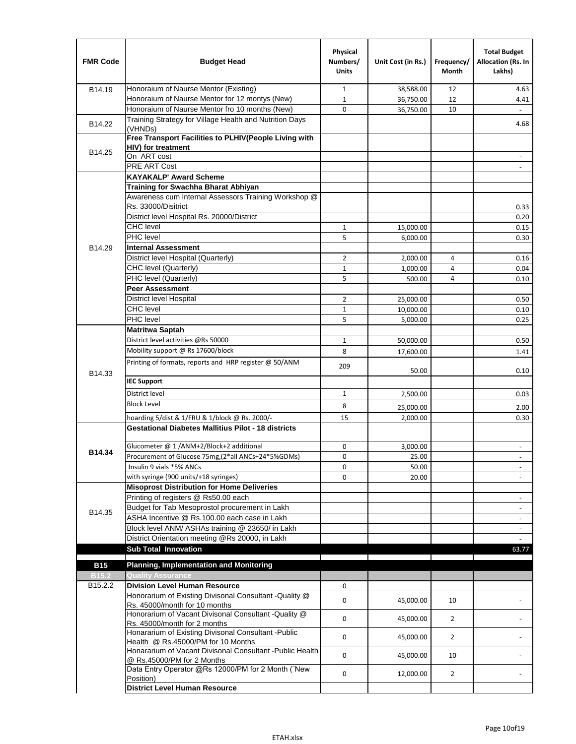| <b>FMR Code</b> | <b>Budget Head</b>                                                                         | Physical<br>Numbers/<br><b>Units</b> | Unit Cost (in Rs.) | Frequency/<br><b>Month</b> | <b>Total Budget</b><br>Allocation (Rs. In<br>Lakhs) |
|-----------------|--------------------------------------------------------------------------------------------|--------------------------------------|--------------------|----------------------------|-----------------------------------------------------|
| B14.19          | Honoraium of Naurse Mentor (Existing)                                                      | $\mathbf{1}$                         | 38,588.00          | 12                         | 4.63                                                |
|                 | Honoraium of Naurse Mentor for 12 montys (New)                                             | $\mathbf{1}$                         | 36,750.00          | 12                         | 4.41                                                |
|                 | Honoraium of Naurse Mentor fro 10 months (New)                                             | 0                                    | 36,750.00          | 10                         | $\omega$                                            |
| B14.22          | Training Strategy for Village Health and Nutrition Days<br>(VHNDs)                         |                                      |                    |                            | 4.68                                                |
|                 | Free Transport Facilities to PLHIV(People Living with                                      |                                      |                    |                            |                                                     |
| B14.25          | <b>HIV)</b> for treatment                                                                  |                                      |                    |                            |                                                     |
|                 | On ART cost                                                                                |                                      |                    |                            |                                                     |
|                 | <b>PRE ART Cost</b>                                                                        |                                      |                    |                            |                                                     |
|                 | <b>KAYAKALP' Award Scheme</b>                                                              |                                      |                    |                            |                                                     |
|                 | Training for Swachha Bharat Abhiyan                                                        |                                      |                    |                            |                                                     |
|                 | Awareness cum Internal Assessors Training Workshop @                                       |                                      |                    |                            |                                                     |
|                 | Rs. 33000/Disitrict                                                                        |                                      |                    |                            | 0.33                                                |
|                 | District level Hospital Rs. 20000/District                                                 |                                      |                    |                            | 0.20                                                |
|                 | <b>CHC</b> level                                                                           | $\mathbf{1}$                         | 15,000.00          |                            | 0.15                                                |
|                 | PHC level                                                                                  | 5                                    | 6,000.00           |                            | 0.30                                                |
| B14.29          | <b>Internal Assessment</b>                                                                 |                                      |                    |                            |                                                     |
|                 | District level Hospital (Quarterly)                                                        | $\overline{2}$                       | 2,000.00           | 4                          | 0.16                                                |
|                 | CHC level (Quarterly)                                                                      | $1\,$                                | 1,000.00           | 4                          | 0.04                                                |
|                 | PHC level (Quarterly)                                                                      | 5                                    | 500.00             | 4                          | 0.10                                                |
|                 | <b>Peer Assessment</b>                                                                     |                                      |                    |                            |                                                     |
|                 | <b>District level Hospital</b>                                                             | $\overline{2}$                       | 25,000.00          |                            | 0.50                                                |
|                 | <b>CHC</b> level<br>PHC level                                                              | $\mathbf{1}$                         | 10,000.00          |                            | 0.10                                                |
|                 |                                                                                            | 5                                    | 5,000.00           |                            | 0.25                                                |
|                 | <b>Matritwa Saptah</b>                                                                     |                                      |                    |                            |                                                     |
|                 | District level activities @Rs 50000                                                        | $\mathbf{1}$                         | 50,000.00          |                            | 0.50                                                |
|                 | Mobility support @ Rs 17600/block                                                          | 8                                    | 17,600.00          |                            | 1.41                                                |
| B14.33          | Printing of formats, reports and HRP register @ 50/ANM                                     | 209                                  | 50.00              |                            | 0.10                                                |
|                 | <b>IEC Support</b>                                                                         |                                      |                    |                            |                                                     |
|                 | District level                                                                             | $\mathbf{1}$                         | 2,500.00           |                            | 0.03                                                |
|                 | <b>Block Level</b>                                                                         | 8                                    | 25,000.00          |                            | 2.00                                                |
|                 | hoarding 5/dist & 1/FRU & 1/block @ Rs. 2000/-                                             | 15                                   | 2,000.00           |                            | 0.30                                                |
|                 | <b>Gestational Diabetes Mallitius Pilot - 18 districts</b>                                 |                                      |                    |                            |                                                     |
|                 | Glucometer @ 1 /ANM+2/Block+2 additional                                                   | 0                                    | 3.000.00           |                            | $\overline{\phantom{a}}$                            |
| B14.34          | Procurement of Glucose 75mg, (2*all ANCs+24*5%GDMs)                                        | 0                                    | 25.00              |                            |                                                     |
|                 | Insulin 9 vials *5% ANCs                                                                   | 0                                    | 50.00              |                            | $\blacksquare$                                      |
|                 | with syringe (900 units/+18 syringes)                                                      | 0                                    | 20.00              |                            |                                                     |
|                 | <b>Misoprost Distribution for Home Deliveries</b>                                          |                                      |                    |                            |                                                     |
|                 | Printing of registers @ Rs50.00 each                                                       |                                      |                    |                            | $\overline{\phantom{a}}$                            |
|                 | Budget for Tab Mesoprostol procurement in Lakh                                             |                                      |                    |                            | $\blacksquare$                                      |
| B14.35          | ASHA Incentive @ Rs.100.00 each case in Lakh                                               |                                      |                    |                            | $\overline{\phantom{a}}$                            |
|                 | Block level ANM/ ASHAs training @ 23650/ in Lakh                                           |                                      |                    |                            | $\blacksquare$                                      |
|                 | District Orientation meeting @Rs 20000, in Lakh                                            |                                      |                    |                            |                                                     |
|                 | <b>Sub Total Innovation</b>                                                                |                                      |                    |                            | 63.77                                               |
| <b>B15</b>      | <b>Planning, Implementation and Monitoring</b>                                             |                                      |                    |                            |                                                     |
| <b>B15.2</b>    | <b>Quality Assurance</b>                                                                   |                                      |                    |                            |                                                     |
| B15.2.2         | <b>Division Level Human Resource</b>                                                       | 0                                    |                    |                            |                                                     |
|                 | Honorarium of Existing Divisonal Consultant -Quality @                                     |                                      |                    |                            |                                                     |
|                 | Rs. 45000/month for 10 months<br>Honorarium of Vacant Divisonal Consultant -Quality @      | $\mathbf 0$                          | 45,000.00          | 10                         |                                                     |
|                 | Rs. 45000/month for 2 months                                                               | $\mathbf 0$                          | 45,000.00          | $\overline{2}$             |                                                     |
|                 | Honararium of Existing Divisonal Consultant - Public<br>Health @ Rs.45000/PM for 10 Months | $\mathbf 0$                          | 45,000.00          | $\overline{2}$             |                                                     |
|                 | Honararium of Vacant Divisonal Consultant - Public Health<br>@ Rs.45000/PM for 2 Months    | $\mathbf 0$                          | 45,000.00          | 10                         |                                                     |
|                 | Data Entry Operator @Rs 12000/PM for 2 Month ("New<br>Position)                            | 0                                    | 12,000.00          | $\overline{2}$             |                                                     |
|                 | <b>District Level Human Resource</b>                                                       |                                      |                    |                            |                                                     |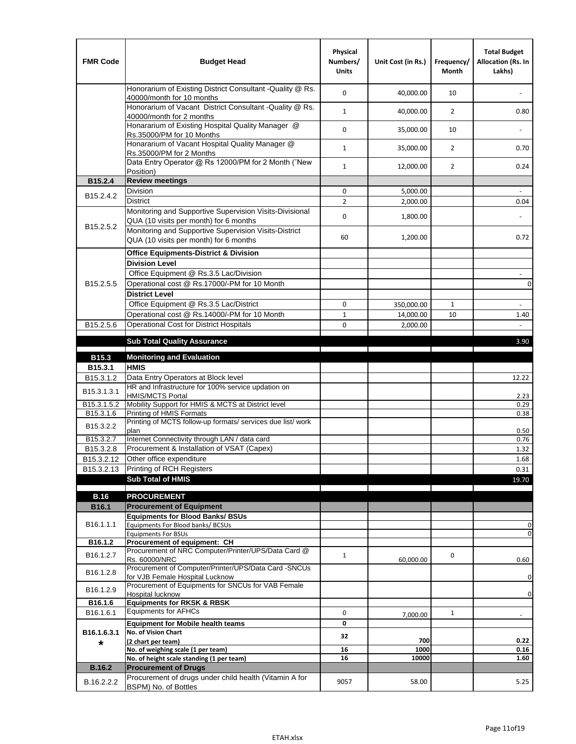| <b>FMR Code</b>        | <b>Budget Head</b>                                                                                | Physical<br>Numbers/<br><b>Units</b> | Unit Cost (in Rs.) | Frequency/<br>Month | <b>Total Budget</b><br>Allocation (Rs. In<br>Lakhs) |
|------------------------|---------------------------------------------------------------------------------------------------|--------------------------------------|--------------------|---------------------|-----------------------------------------------------|
|                        | Honorarium of Existing District Consultant -Quality @ Rs.<br>40000/month for 10 months            | $\mathbf 0$                          | 40,000.00          | 10                  |                                                     |
|                        | Honorarium of Vacant District Consultant -Quality @ Rs.<br>40000/month for 2 months               | $\mathbf{1}$                         | 40,000.00          | $\overline{2}$      | 0.80                                                |
|                        | Honararium of Existing Hospital Quality Manager @<br>Rs.35000/PM for 10 Months                    | 0                                    | 35,000.00          | 10                  |                                                     |
|                        | Honararium of Vacant Hospital Quality Manager @<br>Rs.35000/PM for 2 Months                       | $\mathbf{1}$                         | 35,000.00          | $\overline{2}$      | 0.70                                                |
|                        | Data Entry Operator @ Rs 12000/PM for 2 Month ("New<br>Position)                                  | $\mathbf{1}$                         | 12,000.00          | $\overline{2}$      | 0.24                                                |
| B15.2.4                | <b>Review meetings</b>                                                                            |                                      |                    |                     |                                                     |
| B <sub>15.2</sub> .4.2 | Division                                                                                          | 0                                    | 5,000.00           |                     |                                                     |
|                        | <b>District</b>                                                                                   | $\overline{2}$                       | 2,000.00           |                     | 0.04                                                |
| B15.2.5.2              | Monitoring and Supportive Supervision Visits-Divisional<br>QUA (10 visits per month) for 6 months | 0                                    | 1,800.00           |                     |                                                     |
|                        | Monitoring and Supportive Supervision Visits-District<br>QUA (10 visits per month) for 6 months   | 60                                   | 1,200.00           |                     | 0.72                                                |
|                        | <b>Office Equipments-District &amp; Division</b>                                                  |                                      |                    |                     |                                                     |
|                        | <b>Division Level</b>                                                                             |                                      |                    |                     |                                                     |
|                        | Office Equipment @ Rs.3.5 Lac/Division                                                            |                                      |                    |                     | $\omega$                                            |
| B15.2.5.5              | Operational cost @ Rs.17000/-PM for 10 Month                                                      |                                      |                    |                     | $\mathsf{O}\xspace$                                 |
|                        | <b>District Level</b>                                                                             |                                      |                    |                     |                                                     |
|                        | Office Equipment @ Rs.3.5 Lac/District                                                            | $\mathbf 0$                          | 350,000.00         | $\mathbf{1}$        |                                                     |
|                        | Operational cost @ Rs.14000/-PM for 10 Month                                                      | $\mathbf{1}$                         | 14,000.00          | 10                  | 1.40                                                |
| B15.2.5.6              | Operational Cost for District Hospitals                                                           | 0                                    | 2,000.00           |                     |                                                     |
|                        | <b>Sub Total Quality Assurance</b>                                                                |                                      |                    |                     | 3.90                                                |
| B15.3                  | <b>Monitoring and Evaluation</b>                                                                  |                                      |                    |                     |                                                     |
| B15.3.1                | <b>HMIS</b>                                                                                       |                                      |                    |                     |                                                     |
| B15.3.1.2              | Data Entry Operators at Block level                                                               |                                      |                    |                     | 12.22                                               |
| B15.3.1.3.1            | HR and Infrastructure for 100% service updation on<br><b>HMIS/MCTS Portal</b>                     |                                      |                    |                     | 2.23                                                |
| B15.3.1.5.2            | Mobility Support for HMIS & MCTS at District level                                                |                                      |                    |                     | 0.29                                                |
| B15.3.1.6              | Printing of HMIS Formats                                                                          |                                      |                    |                     | 0.38                                                |
| B15.3.2.2              | Printing of MCTS follow-up formats/ services due list/ work<br>plan                               |                                      |                    |                     | 0.50                                                |
| B15.3.2.7              | Internet Connectivity through LAN / data card                                                     |                                      |                    |                     | 0.76                                                |
| B15.3.2.8              | Procurement & Installation of VSAT (Capex)                                                        |                                      |                    |                     | 1.32                                                |
| B15.3.2.12             | Other office expenditure                                                                          |                                      |                    |                     | 1.68                                                |
| B15.3.2.13             | Printing of RCH Registers                                                                         |                                      |                    |                     | 0.31                                                |
|                        | <b>Sub Total of HMIS</b>                                                                          |                                      |                    |                     | 19.70                                               |
| <b>B.16</b>            | <b>PROCUREMENT</b>                                                                                |                                      |                    |                     |                                                     |
| B16.1                  | <b>Procurement of Equipment</b>                                                                   |                                      |                    |                     |                                                     |
|                        | <b>Equipments for Blood Banks/ BSUs</b>                                                           |                                      |                    |                     |                                                     |
| B16.1.1.1              | Equipments For Blood banks/ BCSUs                                                                 |                                      |                    |                     | 0                                                   |
|                        | <b>Equipments For BSUs</b>                                                                        |                                      |                    |                     | 0                                                   |
| B16.1.2                | Procurement of equipment: CH<br>Procurement of NRC Computer/Printer/UPS/Data Card @               |                                      |                    |                     |                                                     |
| B16.1.2.7              | Rs. 60000/NRC                                                                                     | $\mathbf{1}$                         | 60,000.00          | 0                   | 0.60                                                |
| B16.1.2.8              | Procurement of Computer/Printer/UPS/Data Card -SNCUs                                              |                                      |                    |                     |                                                     |
|                        | for VJB Female Hospital Lucknow                                                                   |                                      |                    |                     | 0                                                   |
| B16.1.2.9              | Procurement of Equipments for SNCUs for VAB Female<br>Hospital lucknow                            |                                      |                    |                     | $\pmb{0}$                                           |
| B16.1.6                | <b>Equipments for RKSK &amp; RBSK</b>                                                             |                                      |                    |                     |                                                     |
| B16.1.6.1              | <b>Equipments for AFHCs</b>                                                                       | 0                                    | 7,000.00           | $\mathbf{1}$        |                                                     |
|                        | <b>Equipment for Mobile health teams</b>                                                          | 0                                    |                    |                     |                                                     |
| B16.1.6.3.1            | No. of Vision Chart                                                                               | 32                                   |                    |                     |                                                     |
| *                      | (2 chart per team)                                                                                |                                      | 700                |                     | 0.22                                                |
|                        | No. of weighing scale (1 per team)<br>No. of height scale standing (1 per team)                   | 16<br>16                             | 1000<br>10000      |                     | 0.16<br>1.60                                        |
| <b>B.16.2</b>          | <b>Procurement of Drugs</b>                                                                       |                                      |                    |                     |                                                     |
|                        | Procurement of drugs under child health (Vitamin A for                                            |                                      |                    |                     |                                                     |
| B.16.2.2.2             | BSPM) No. of Bottles                                                                              | 9057                                 | 58.00              |                     | 5.25                                                |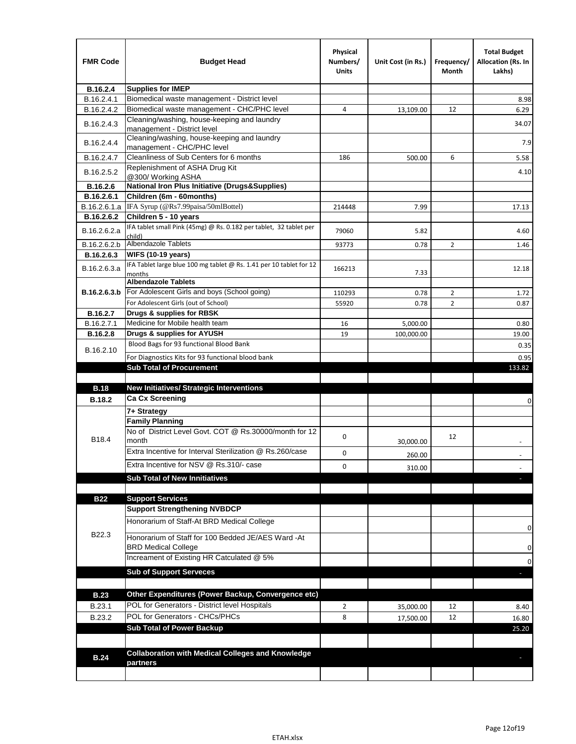| <b>FMR Code</b>  | <b>Budget Head</b>                                                                   | Physical<br>Numbers/<br><b>Units</b> | Unit Cost (in Rs.) | Frequency/<br>Month | <b>Total Budget</b><br><b>Allocation (Rs. In</b><br>Lakhs) |
|------------------|--------------------------------------------------------------------------------------|--------------------------------------|--------------------|---------------------|------------------------------------------------------------|
| B.16.2.4         | <b>Supplies for IMEP</b>                                                             |                                      |                    |                     |                                                            |
| B.16.2.4.1       | Biomedical waste management - District level                                         |                                      |                    |                     | 8.98                                                       |
| B.16.2.4.2       | Biomedical waste management - CHC/PHC level                                          | 4                                    | 13,109.00          | 12                  | 6.29                                                       |
| B.16.2.4.3       | Cleaning/washing, house-keeping and laundry<br>management - District level           |                                      |                    |                     | 34.07                                                      |
| B.16.2.4.4       | Cleaning/washing, house-keeping and laundry<br>management - CHC/PHC level            |                                      |                    |                     | 7.9                                                        |
| B.16.2.4.7       | Cleanliness of Sub Centers for 6 months                                              | 186                                  | 500.00             | 6                   | 5.58                                                       |
| B.16.2.5.2       | Replenishment of ASHA Drug Kit<br>@300/ Working ASHA                                 |                                      |                    |                     | 4.10                                                       |
| B.16.2.6         | <b>National Iron Plus Initiative (Drugs&amp;Supplies)</b>                            |                                      |                    |                     |                                                            |
| B.16.2.6.1       | Children (6m - 60months)                                                             |                                      |                    |                     |                                                            |
| B.16.2.6.1.a     | IFA Syrup (@Rs7.99paisa/50mlBottel)                                                  | 214448                               | 7.99               |                     | 17.13                                                      |
| B.16.2.6.2       | Children 5 - 10 years                                                                |                                      |                    |                     |                                                            |
| B.16.2.6.2.a     | IFA tablet small Pink (45mg) @ Rs. 0.182 per tablet, 32 tablet per<br>child)         | 79060                                | 5.82               |                     | 4.60                                                       |
| B.16.2.6.2.b     | <b>Albendazole Tablets</b>                                                           | 93773                                | 0.78               | 2                   | 1.46                                                       |
| B.16.2.6.3       | <b>WIFS (10-19 years)</b>                                                            |                                      |                    |                     |                                                            |
|                  | IFA Tablet large blue 100 mg tablet @ Rs. 1.41 per 10 tablet for 12                  |                                      |                    |                     |                                                            |
| B.16.2.6.3.a     | months                                                                               | 166213                               | 7.33               |                     | 12.18                                                      |
|                  | <b>Albendazole Tablets</b>                                                           |                                      |                    |                     |                                                            |
| B.16.2.6.3.b     | For Adolescent Girls and boys (School going)<br>For Adolescent Girls (out of School) | 110293                               | 0.78               | $\overline{2}$      | 1.72                                                       |
| B.16.2.7         | Drugs & supplies for RBSK                                                            | 55920                                | 0.78               | $\overline{2}$      | 0.87                                                       |
| B.16.2.7.1       | Medicine for Mobile health team                                                      | 16                                   | 5,000.00           |                     | 0.80                                                       |
| <b>B.16.2.8</b>  | Drugs & supplies for AYUSH                                                           | 19                                   | 100,000.00         |                     | 19.00                                                      |
|                  | Blood Bags for 93 functional Blood Bank                                              |                                      |                    |                     | 0.35                                                       |
| B.16.2.10        | For Diagnostics Kits for 93 functional blood bank                                    |                                      |                    |                     | 0.95                                                       |
|                  | <b>Sub Total of Procurement</b>                                                      |                                      |                    |                     | 133.82                                                     |
| <b>B.18</b>      | <b>New Initiatives/ Strategic Interventions</b>                                      |                                      |                    |                     |                                                            |
| <b>B.18.2</b>    | <b>Ca Cx Screening</b>                                                               |                                      |                    |                     | 0                                                          |
|                  | 7+ Strategy                                                                          |                                      |                    |                     |                                                            |
|                  | <b>Family Planning</b>                                                               |                                      |                    |                     |                                                            |
| B18.4            | No of District Level Govt, COT @ Rs.30000/month for 12<br>month                      | 0                                    | 30,000.00          | 12                  |                                                            |
|                  | Extra Incentive for Interval Sterilization @ Rs.260/case                             | 0                                    | 260.00             |                     |                                                            |
|                  | Extra Incentive for NSV @ Rs.310/- case                                              | 0                                    |                    |                     |                                                            |
|                  | <b>Sub Total of New Innitiatives</b>                                                 |                                      | 310.00             |                     |                                                            |
|                  |                                                                                      |                                      |                    |                     |                                                            |
| <b>B22</b>       | <b>Support Services</b>                                                              |                                      |                    |                     |                                                            |
|                  | <b>Support Strengthening NVBDCP</b>                                                  |                                      |                    |                     |                                                            |
|                  | Honorarium of Staff-At BRD Medical College                                           |                                      |                    |                     | 0                                                          |
| B22.3            | Honorarium of Staff for 100 Bedded JE/AES Ward -At<br><b>BRD Medical College</b>     |                                      |                    |                     | 0                                                          |
|                  | Increament of Existing HR Catculated @ 5%                                            |                                      |                    |                     | 0                                                          |
|                  | <b>Sub of Support Serveces</b>                                                       |                                      |                    |                     |                                                            |
|                  |                                                                                      |                                      |                    |                     |                                                            |
| <b>B.23</b>      | Other Expenditures (Power Backup, Convergence etc)                                   |                                      |                    |                     |                                                            |
|                  | POL for Generators - District level Hospitals                                        | $\overline{2}$                       |                    |                     |                                                            |
| B.23.1<br>B.23.2 | POL for Generators - CHCs/PHCs                                                       | 8                                    | 35,000.00          | 12<br>12            | 8.40                                                       |
|                  | <b>Sub Total of Power Backup</b>                                                     |                                      | 17,500.00          |                     | 16.80<br>25.20                                             |
|                  |                                                                                      |                                      |                    |                     |                                                            |
|                  |                                                                                      |                                      |                    |                     |                                                            |
| <b>B.24</b>      | <b>Collaboration with Medical Colleges and Knowledge</b><br>partners                 |                                      |                    |                     |                                                            |
|                  |                                                                                      |                                      |                    |                     |                                                            |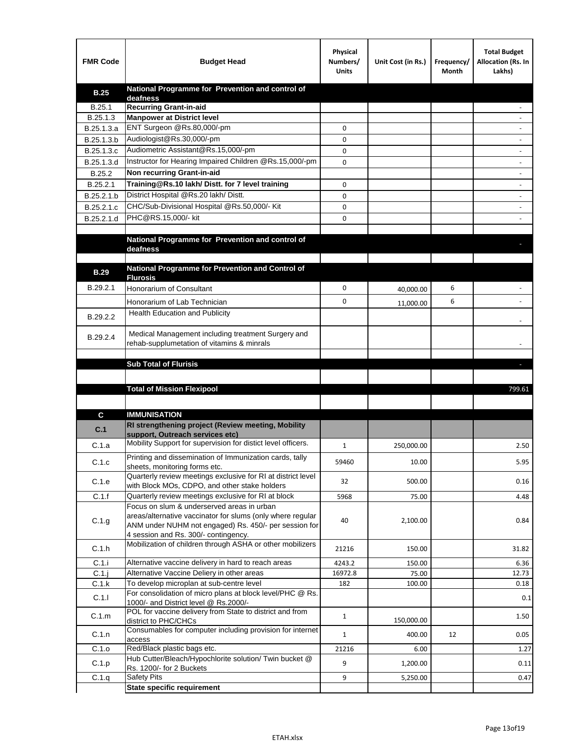| <b>FMR Code</b> | <b>Budget Head</b>                                                                                   | Physical<br>Numbers/<br><b>Units</b> | Unit Cost (in Rs.) | Frequency/<br>Month | <b>Total Budget</b><br>Allocation (Rs. In<br>Lakhs) |
|-----------------|------------------------------------------------------------------------------------------------------|--------------------------------------|--------------------|---------------------|-----------------------------------------------------|
| <b>B.25</b>     | National Programme for Prevention and control of                                                     |                                      |                    |                     |                                                     |
| B.25.1          | deafness<br><b>Recurring Grant-in-aid</b>                                                            |                                      |                    |                     |                                                     |
| B.25.1.3        | <b>Manpower at District level</b>                                                                    |                                      |                    |                     |                                                     |
| B.25.1.3.a      | ENT Surgeon @Rs.80,000/-pm                                                                           | 0                                    |                    |                     |                                                     |
| B.25.1.3.b      | Audiologist@Rs.30,000/-pm                                                                            | 0                                    |                    |                     |                                                     |
| B.25.1.3.c      | Audiometric Assistant@Rs.15,000/-pm                                                                  | 0                                    |                    |                     |                                                     |
| B.25.1.3.d      | Instructor for Hearing Impaired Children @Rs.15,000/-pm                                              | 0                                    |                    |                     |                                                     |
| B.25.2          | Non recurring Grant-in-aid                                                                           |                                      |                    |                     |                                                     |
| B.25.2.1        | Training@Rs.10 lakh/ Distt. for 7 level training                                                     | 0                                    |                    |                     |                                                     |
| B.25.2.1.b      | District Hospital @Rs.20 lakh/Distt.                                                                 | 0                                    |                    |                     |                                                     |
| B.25.2.1.c      | CHC/Sub-Divisional Hospital @Rs.50,000/- Kit                                                         | 0                                    |                    |                     |                                                     |
| B.25.2.1.d      | PHC@RS.15,000/- kit                                                                                  | 0                                    |                    |                     |                                                     |
|                 |                                                                                                      |                                      |                    |                     |                                                     |
|                 | National Programme for Prevention and control of                                                     |                                      |                    |                     |                                                     |
|                 | deafness                                                                                             |                                      |                    |                     |                                                     |
|                 | National Programme for Prevention and Control of                                                     |                                      |                    |                     |                                                     |
| <b>B.29</b>     | <b>Flurosis</b>                                                                                      |                                      |                    |                     |                                                     |
| B.29.2.1        | Honorarium of Consultant                                                                             | 0                                    | 40,000.00          | 6                   |                                                     |
|                 | Honorarium of Lab Technician                                                                         | 0                                    | 11,000.00          | 6                   |                                                     |
| B.29.2.2        | Health Education and Publicity                                                                       |                                      |                    |                     |                                                     |
|                 |                                                                                                      |                                      |                    |                     |                                                     |
| B.29.2.4        | Medical Management including treatment Surgery and                                                   |                                      |                    |                     |                                                     |
|                 | rehab-supplumetation of vitamins & minrals                                                           |                                      |                    |                     |                                                     |
|                 | <b>Sub Total of Flurisis</b>                                                                         |                                      |                    |                     | ь                                                   |
|                 |                                                                                                      |                                      |                    |                     |                                                     |
|                 | <b>Total of Mission Flexipool</b>                                                                    |                                      |                    |                     | 799.61                                              |
|                 |                                                                                                      |                                      |                    |                     |                                                     |
| C               | <b>IMMUNISATION</b>                                                                                  |                                      |                    |                     |                                                     |
|                 | RI strengthening project (Review meeting, Mobility                                                   |                                      |                    |                     |                                                     |
| C.1             | support, Outreach services etc)                                                                      |                                      |                    |                     |                                                     |
| C.1.a           | Mobility Support for supervision for distict level officers.                                         | 1                                    | 250,000.00         |                     | 2.50                                                |
|                 | Printing and dissemination of Immunization cards, tally                                              |                                      |                    |                     |                                                     |
| C.1.c           | sheets, monitoring forms etc.                                                                        | 59460                                | 10.00              |                     | 5.95                                                |
| C.1.e           | Quarterly review meetings exclusive for RI at district level                                         | 32                                   | 500.00             |                     | 0.16                                                |
| C.1.f           | with Block MOs, CDPO, and other stake holders<br>Quarterly review meetings exclusive for RI at block | 5968                                 | 75.00              |                     | 4.48                                                |
|                 | Focus on slum & underserved areas in urban                                                           |                                      |                    |                     |                                                     |
|                 | areas/alternative vaccinator for slums (only where regular                                           | 40                                   | 2,100.00           |                     |                                                     |
| C.1.g           | ANM under NUHM not engaged) Rs. 450/- per session for                                                |                                      |                    |                     | 0.84                                                |
|                 | 4 session and Rs. 300/- contingency.                                                                 |                                      |                    |                     |                                                     |
| C.1.h           | Mobilization of children through ASHA or other mobilizers                                            | 21216                                | 150.00             |                     | 31.82                                               |
| C.1.i           | Alternative vaccine delivery in hard to reach areas                                                  | 4243.2                               | 150.00             |                     | 6.36                                                |
| $C.1$ .j        | Alternative Vaccine Deliery in other areas                                                           | 16972.8                              | 75.00              |                     | 12.73                                               |
| C.1.k           | To develop microplan at sub-centre level                                                             | 182                                  | 100.00             |                     | 0.18                                                |
| C.1.1           | For consolidation of micro plans at block level/PHC @ Rs.                                            |                                      |                    |                     | 0.1                                                 |
|                 | 1000/- and District level @ Rs.2000/-<br>POL for vaccine delivery from State to district and from    |                                      |                    |                     |                                                     |
| C.1.m           | district to PHC/CHCs                                                                                 | $\mathbf{1}$                         | 150,000.00         |                     | 1.50                                                |
| C.1.n           | Consumables for computer including provision for internet                                            | $\mathbf{1}$                         | 400.00             | 12                  | 0.05                                                |
| C.1.o           | access<br>Red/Black plastic bags etc.                                                                | 21216                                | 6.00               |                     | 1.27                                                |
|                 | Hub Cutter/Bleach/Hypochlorite solution/ Twin bucket @                                               |                                      |                    |                     |                                                     |
| C.1.p           | Rs. 1200/- for 2 Buckets                                                                             | 9                                    | 1,200.00           |                     | 0.11                                                |
| C.1.q           | <b>Safety Pits</b>                                                                                   | 9                                    | 5,250.00           |                     | 0.47                                                |
|                 | <b>State specific requirement</b>                                                                    |                                      |                    |                     |                                                     |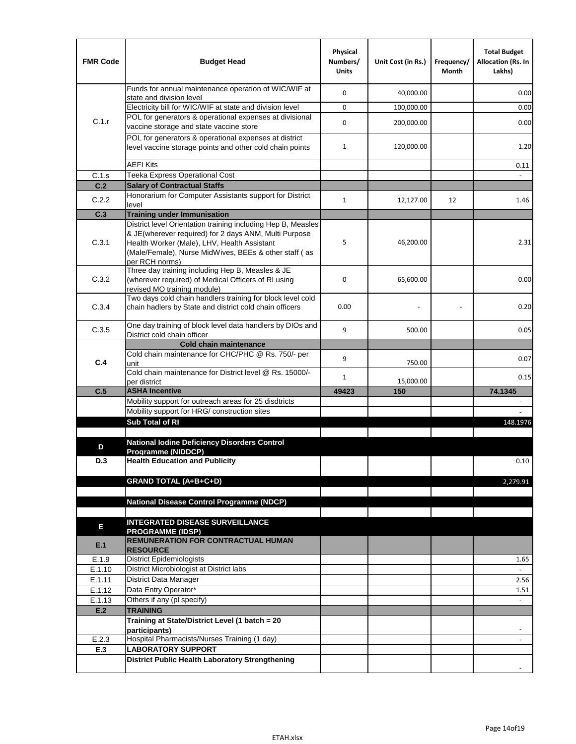| <b>FMR Code</b> | <b>Budget Head</b>                                                                                                                                                              | Physical<br>Numbers/<br><b>Units</b> | Unit Cost (in Rs.) | Frequency/<br>Month | <b>Total Budget</b><br><b>Allocation (Rs. In</b><br>Lakhs) |
|-----------------|---------------------------------------------------------------------------------------------------------------------------------------------------------------------------------|--------------------------------------|--------------------|---------------------|------------------------------------------------------------|
|                 | Funds for annual maintenance operation of WIC/WIF at<br>state and division level                                                                                                | $\mathbf 0$                          | 40,000.00          |                     | 0.00                                                       |
|                 | Electricity bill for WIC/WIF at state and division level                                                                                                                        | $\mathbf 0$                          | 100,000.00         |                     | 0.00                                                       |
| C.1.r           | POL for generators & operational expenses at divisional                                                                                                                         | $\mathbf 0$                          |                    |                     | 0.00                                                       |
|                 | vaccine storage and state vaccine store                                                                                                                                         |                                      | 200,000.00         |                     |                                                            |
|                 | POL for generators & operational expenses at district<br>level vaccine storage points and other cold chain points                                                               | $\mathbf{1}$                         | 120,000.00         |                     | 1.20                                                       |
|                 | <b>AEFI Kits</b>                                                                                                                                                                |                                      |                    |                     | 0.11                                                       |
| C.1.s           | Teeka Express Operational Cost                                                                                                                                                  |                                      |                    |                     |                                                            |
| C.2             | <b>Salary of Contractual Staffs</b>                                                                                                                                             |                                      |                    |                     |                                                            |
| C.2.2           | Honorarium for Computer Assistants support for District<br>level                                                                                                                | $\mathbf{1}$                         | 12,127.00          | 12                  | 1.46                                                       |
| C.3             | <b>Training under Immunisation</b>                                                                                                                                              |                                      |                    |                     |                                                            |
|                 | District level Orientation training including Hep B, Measles                                                                                                                    |                                      |                    |                     |                                                            |
| C.3.1           | & JE(wherever required) for 2 days ANM, Multi Purpose<br>Health Worker (Male), LHV, Health Assistant<br>(Male/Female), Nurse MidWives, BEEs & other staff (as<br>per RCH norms) | 5                                    | 46,200.00          |                     | 2.31                                                       |
| C.3.2           | Three day training including Hep B, Measles & JE<br>(wherever required) of Medical Officers of RI using<br>revised MO training module)                                          | $\mathbf 0$                          | 65,600.00          |                     | 0.00                                                       |
| C.3.4           | Two days cold chain handlers training for block level cold<br>chain hadlers by State and district cold chain officers                                                           | 0.00                                 |                    |                     | 0.20                                                       |
| C.3.5           | One day training of block level data handlers by DIOs and<br>District cold chain officer                                                                                        | 9                                    | 500.00             |                     | 0.05                                                       |
|                 | <b>Cold chain maintenance</b>                                                                                                                                                   |                                      |                    |                     |                                                            |
|                 | Cold chain maintenance for CHC/PHC @ Rs. 750/- per                                                                                                                              | 9                                    |                    |                     | 0.07                                                       |
| C.4             | unit                                                                                                                                                                            |                                      | 750.00             |                     |                                                            |
|                 | Cold chain maintenance for District level @ Rs. 15000/-<br>per district                                                                                                         | $\mathbf{1}$                         | 15,000.00          |                     | 0.15                                                       |
| C.5             | <b>ASHA Incentive</b>                                                                                                                                                           | 49423                                | 150                |                     | 74.1345                                                    |
|                 | Mobility support for outreach areas for 25 disdtricts                                                                                                                           |                                      |                    |                     |                                                            |
|                 | Mobility support for HRG/ construction sites                                                                                                                                    |                                      |                    |                     |                                                            |
|                 | Sub Total of RI                                                                                                                                                                 |                                      |                    |                     | 148.1976                                                   |
|                 | <b>National Iodine Deficiency Disorders Control</b>                                                                                                                             |                                      |                    |                     |                                                            |
| D               | Programme (NIDDCP)                                                                                                                                                              |                                      |                    |                     |                                                            |
| D.3             | <b>Health Education and Publicity</b>                                                                                                                                           |                                      |                    |                     | 0.10                                                       |
|                 |                                                                                                                                                                                 |                                      |                    |                     |                                                            |
|                 | <b>GRAND TOTAL (A+B+C+D)</b>                                                                                                                                                    |                                      |                    |                     | 2,279.91                                                   |
|                 | National Disease Control Programme (NDCP)                                                                                                                                       |                                      |                    |                     |                                                            |
|                 |                                                                                                                                                                                 |                                      |                    |                     |                                                            |
|                 | <b>INTEGRATED DISEASE SURVEILLANCE</b>                                                                                                                                          |                                      |                    |                     |                                                            |
| Е               | <b>PROGRAMME (IDSP)</b>                                                                                                                                                         |                                      |                    |                     |                                                            |
| E.1             | <b>REMUNERATION FOR CONTRACTUAL HUMAN</b><br><b>RESOURCE</b>                                                                                                                    |                                      |                    |                     |                                                            |
| E.1.9           | District Epidemiologists                                                                                                                                                        |                                      |                    |                     | 1.65                                                       |
| E.1.10          | District Microbiologist at District labs                                                                                                                                        |                                      |                    |                     |                                                            |
| E.1.11          | District Data Manager                                                                                                                                                           |                                      |                    |                     | 2.56                                                       |
| E.1.12          | Data Entry Operator*                                                                                                                                                            |                                      |                    |                     | 1.51                                                       |
| E.1.13          | Others if any (pl specify)                                                                                                                                                      |                                      |                    |                     | $\omega$                                                   |
| E.2             | <b>TRAINING</b>                                                                                                                                                                 |                                      |                    |                     |                                                            |
|                 | Training at State/District Level (1 batch = 20<br>participants)                                                                                                                 |                                      |                    |                     |                                                            |
| E.2.3           | Hospital Pharmacists/Nurses Training (1 day)                                                                                                                                    |                                      |                    |                     |                                                            |
| E.3             | <b>LABORATORY SUPPORT</b>                                                                                                                                                       |                                      |                    |                     |                                                            |
|                 | <b>District Public Health Laboratory Strengthening</b>                                                                                                                          |                                      |                    |                     |                                                            |
|                 |                                                                                                                                                                                 |                                      |                    |                     |                                                            |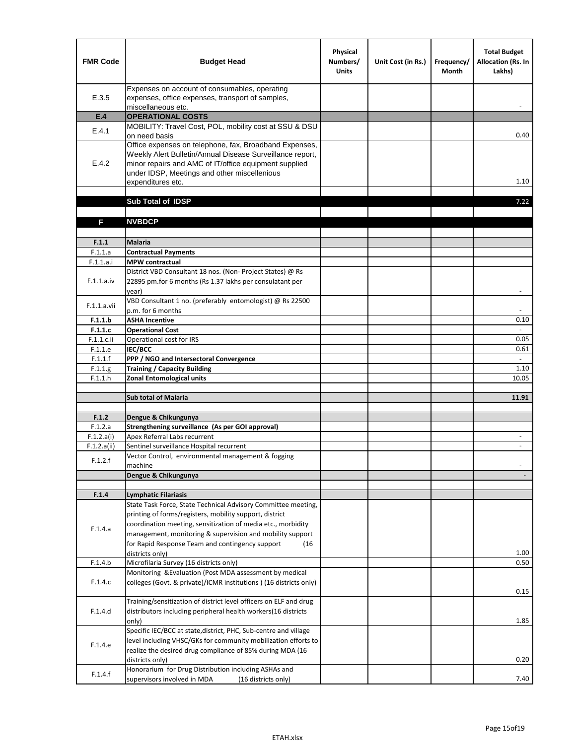| <b>FMR Code</b>          | <b>Budget Head</b>                                                                                                                                                                                                                                | Physical<br>Numbers/<br><b>Units</b> | Unit Cost (in Rs.) | Frequency/<br><b>Month</b> | <b>Total Budget</b><br><b>Allocation (Rs. In</b><br>Lakhs) |
|--------------------------|---------------------------------------------------------------------------------------------------------------------------------------------------------------------------------------------------------------------------------------------------|--------------------------------------|--------------------|----------------------------|------------------------------------------------------------|
| E.3.5                    | Expenses on account of consumables, operating<br>expenses, office expenses, transport of samples,<br>miscellaneous etc.                                                                                                                           |                                      |                    |                            |                                                            |
| E.4                      | <b>OPERATIONAL COSTS</b>                                                                                                                                                                                                                          |                                      |                    |                            |                                                            |
| E.4.1                    | MOBILITY: Travel Cost, POL, mobility cost at SSU & DSU                                                                                                                                                                                            |                                      |                    |                            |                                                            |
|                          | on need basis                                                                                                                                                                                                                                     |                                      |                    |                            | 0.40                                                       |
| E.4.2                    | Office expenses on telephone, fax, Broadband Expenses,<br>Weekly Alert Bulletin/Annual Disease Surveillance report,<br>minor repairs and AMC of IT/office equipment supplied<br>under IDSP, Meetings and other miscellenious<br>expenditures etc. |                                      |                    |                            | 1.10                                                       |
|                          | Sub Total of IDSP                                                                                                                                                                                                                                 |                                      |                    |                            | 7.22                                                       |
|                          |                                                                                                                                                                                                                                                   |                                      |                    |                            |                                                            |
| F                        | <b>NVBDCP</b>                                                                                                                                                                                                                                     |                                      |                    |                            |                                                            |
|                          |                                                                                                                                                                                                                                                   |                                      |                    |                            |                                                            |
| F.1.1                    | <b>Malaria</b>                                                                                                                                                                                                                                    |                                      |                    |                            |                                                            |
| F.1.1.a                  | <b>Contractual Payments</b>                                                                                                                                                                                                                       |                                      |                    |                            |                                                            |
| F.1.1.a.i                | <b>MPW</b> contractual<br>District VBD Consultant 18 nos. (Non-Project States) @ Rs                                                                                                                                                               |                                      |                    |                            |                                                            |
| F.1.1.a.iv               | 22895 pm.for 6 months (Rs 1.37 lakhs per consulatant per<br>year)                                                                                                                                                                                 |                                      |                    |                            | $\overline{\phantom{a}}$                                   |
| F.1.1.a.vii              | VBD Consultant 1 no. (preferably entomologist) @ Rs 22500                                                                                                                                                                                         |                                      |                    |                            |                                                            |
|                          | p.m. for 6 months                                                                                                                                                                                                                                 |                                      |                    |                            |                                                            |
| F.1.1.b                  | <b>ASHA Incentive</b>                                                                                                                                                                                                                             |                                      |                    |                            | 0.10                                                       |
| F.1.1.c<br>$F.1.1.c.$ ii | <b>Operational Cost</b><br>Operational cost for IRS                                                                                                                                                                                               |                                      |                    |                            | 0.05                                                       |
| F.1.1.e                  | <b>IEC/BCC</b>                                                                                                                                                                                                                                    |                                      |                    |                            | 0.61                                                       |
| F.1.1.f                  | PPP / NGO and Intersectoral Convergence                                                                                                                                                                                                           |                                      |                    |                            | $\sim$                                                     |
| F.1.1.g                  | <b>Training / Capacity Building</b>                                                                                                                                                                                                               |                                      |                    |                            | 1.10                                                       |
| F.1.1.h                  | <b>Zonal Entomological units</b>                                                                                                                                                                                                                  |                                      |                    |                            | 10.05                                                      |
|                          |                                                                                                                                                                                                                                                   |                                      |                    |                            |                                                            |
|                          | <b>Sub total of Malaria</b>                                                                                                                                                                                                                       |                                      |                    |                            | 11.91                                                      |
| F.1.2                    | Dengue & Chikungunya                                                                                                                                                                                                                              |                                      |                    |                            |                                                            |
| F.1.2.a                  | Strengthening surveillance (As per GOI approval)                                                                                                                                                                                                  |                                      |                    |                            |                                                            |
| F.1.2.a(i)               | Apex Referral Labs recurrent                                                                                                                                                                                                                      |                                      |                    |                            |                                                            |
| F.1.2.a(ii)              | Sentinel surveillance Hospital recurrent                                                                                                                                                                                                          |                                      |                    |                            | $\sim$                                                     |
| F.1.2.f                  | Vector Control, environmental management & fogging                                                                                                                                                                                                |                                      |                    |                            |                                                            |
|                          | machine                                                                                                                                                                                                                                           |                                      |                    |                            |                                                            |
|                          | Dengue & Chikungunya                                                                                                                                                                                                                              |                                      |                    |                            |                                                            |
| F.1.4                    | <b>Lymphatic Filariasis</b>                                                                                                                                                                                                                       |                                      |                    |                            |                                                            |
|                          | State Task Force, State Technical Advisory Committee meeting,                                                                                                                                                                                     |                                      |                    |                            |                                                            |
|                          | printing of forms/registers, mobility support, district                                                                                                                                                                                           |                                      |                    |                            |                                                            |
| F.1.4.a                  | coordination meeting, sensitization of media etc., morbidity                                                                                                                                                                                      |                                      |                    |                            |                                                            |
|                          | management, monitoring & supervision and mobility support                                                                                                                                                                                         |                                      |                    |                            |                                                            |
|                          | for Rapid Response Team and contingency support<br>(16)                                                                                                                                                                                           |                                      |                    |                            |                                                            |
|                          | districts only)                                                                                                                                                                                                                                   |                                      |                    |                            | 1.00                                                       |
| F.1.4.b                  | Microfilaria Survey (16 districts only)<br>Monitoring & Evaluation (Post MDA assessment by medical                                                                                                                                                |                                      |                    |                            | 0.50                                                       |
| F.1.4.c                  | colleges (Govt. & private)/ICMR institutions ) (16 districts only)                                                                                                                                                                                |                                      |                    |                            | 0.15                                                       |
|                          | Training/sensitization of district level officers on ELF and drug                                                                                                                                                                                 |                                      |                    |                            |                                                            |
| F.1.4.d                  | distributors including peripheral health workers(16 districts                                                                                                                                                                                     |                                      |                    |                            |                                                            |
|                          | only)                                                                                                                                                                                                                                             |                                      |                    |                            | 1.85                                                       |
|                          | Specific IEC/BCC at state, district, PHC, Sub-centre and village                                                                                                                                                                                  |                                      |                    |                            |                                                            |
| F.1.4.e                  | level including VHSC/GKs for community mobilization efforts to                                                                                                                                                                                    |                                      |                    |                            |                                                            |
|                          | realize the desired drug compliance of 85% during MDA (16                                                                                                                                                                                         |                                      |                    |                            |                                                            |
|                          | districts only)<br>Honorarium for Drug Distribution including ASHAs and                                                                                                                                                                           |                                      |                    |                            | 0.20                                                       |
| F.1.4.f                  | supervisors involved in MDA<br>(16 districts only)                                                                                                                                                                                                |                                      |                    |                            | 7.40                                                       |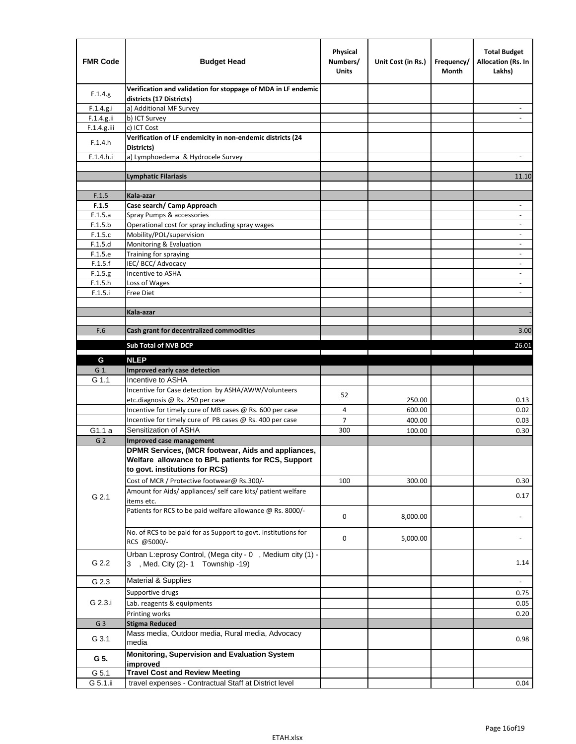| <b>FMR Code</b> | <b>Budget Head</b>                                                                        | Physical<br>Numbers/<br><b>Units</b> | Unit Cost (in Rs.) | Frequency/<br>Month | <b>Total Budget</b><br><b>Allocation (Rs. In</b><br>Lakhs) |
|-----------------|-------------------------------------------------------------------------------------------|--------------------------------------|--------------------|---------------------|------------------------------------------------------------|
| F.1.4.g.        | Verification and validation for stoppage of MDA in LF endemic<br>districts (17 Districts) |                                      |                    |                     |                                                            |
| F.1.4.g.i       | a) Additional MF Survey                                                                   |                                      |                    |                     |                                                            |
| F.1.4.g.ii      | b) ICT Survey                                                                             |                                      |                    |                     |                                                            |
| $F.1.4.g.$ iii  | c) ICT Cost                                                                               |                                      |                    |                     |                                                            |
| F.1.4.h         | Verification of LF endemicity in non-endemic districts (24<br>Districts)                  |                                      |                    |                     |                                                            |
| F.1.4.h.i       | a) Lymphoedema & Hydrocele Survey                                                         |                                      |                    |                     |                                                            |
|                 | <b>Lymphatic Filariasis</b>                                                               |                                      |                    |                     | 11.10                                                      |
|                 |                                                                                           |                                      |                    |                     |                                                            |
| F.1.5           | Kala-azar                                                                                 |                                      |                    |                     |                                                            |
| F.1.5           | Case search/ Camp Approach                                                                |                                      |                    |                     | $\overline{\phantom{a}}$                                   |
| F.1.5.a         | Spray Pumps & accessories                                                                 |                                      |                    |                     |                                                            |
| F.1.5.b         | Operational cost for spray including spray wages                                          |                                      |                    |                     |                                                            |
| F.1.5.c         | Mobility/POL/supervision                                                                  |                                      |                    |                     | $\blacksquare$                                             |
| F.1.5.d         | Monitoring & Evaluation                                                                   |                                      |                    |                     |                                                            |
| F.1.5.e         | Training for spraying                                                                     |                                      |                    |                     | $\overline{\phantom{a}}$                                   |
| F.1.5.f         | IEC/BCC/Advocacy                                                                          |                                      |                    |                     |                                                            |
| F.1.5.g         | Incentive to ASHA                                                                         |                                      |                    |                     | $\overline{\phantom{a}}$                                   |
| F.1.5.h         | Loss of Wages                                                                             |                                      |                    |                     | $\overline{\phantom{a}}$                                   |
| F.1.5.i         | Free Diet                                                                                 |                                      |                    |                     |                                                            |
|                 | Kala-azar                                                                                 |                                      |                    |                     |                                                            |
|                 |                                                                                           |                                      |                    |                     |                                                            |
| F.6             | Cash grant for decentralized commodities                                                  |                                      |                    |                     | 3.00                                                       |
|                 | <b>Sub Total of NVB DCP</b>                                                               |                                      |                    |                     | 26.01                                                      |
|                 | <b>NLEP</b>                                                                               |                                      |                    |                     |                                                            |
| G<br>G 1.       | Improved early case detection                                                             |                                      |                    |                     |                                                            |
| G 1.1           | Incentive to ASHA                                                                         |                                      |                    |                     |                                                            |
|                 | Incentive for Case detection by ASHA/AWW/Volunteers                                       |                                      |                    |                     |                                                            |
|                 | etc.diagnosis @ Rs. 250 per case                                                          | 52                                   | 250.00             |                     | 0.13                                                       |
|                 | Incentive for timely cure of MB cases @ Rs. 600 per case                                  | 4                                    | 600.00             |                     | 0.02                                                       |
|                 | Incentive for timely cure of PB cases @ Rs. 400 per case                                  | $\overline{7}$                       | 400.00             |                     | 0.03                                                       |
| G1.1 a          | Sensitization of ASHA                                                                     | 300                                  | 100.00             |                     | 0.30                                                       |
| G <sub>2</sub>  | Improved case management                                                                  |                                      |                    |                     |                                                            |
|                 | DPMR Services, (MCR footwear, Aids and appliances,                                        |                                      |                    |                     |                                                            |
|                 | Welfare allowance to BPL patients for RCS, Support                                        |                                      |                    |                     |                                                            |
|                 | to govt. institutions for RCS)                                                            |                                      |                    |                     |                                                            |
|                 | Cost of MCR / Protective footwear@ Rs.300/-                                               | 100                                  | 300.00             |                     | 0.30                                                       |
|                 | Amount for Aids/ appliances/ self care kits/ patient welfare                              |                                      |                    |                     |                                                            |
| G 2.1           | items etc.                                                                                |                                      |                    |                     | 0.17                                                       |
|                 | Patients for RCS to be paid welfare allowance @ Rs. 8000/-                                |                                      |                    |                     |                                                            |
|                 |                                                                                           | 0                                    | 8,000.00           |                     |                                                            |
|                 | No. of RCS to be paid for as Support to govt. institutions for                            |                                      |                    |                     |                                                            |
|                 | RCS @5000/-                                                                               | 0                                    | 5,000.00           |                     |                                                            |
|                 | Urban L:eprosy Control, (Mega city - 0, Medium city (1) -                                 |                                      |                    |                     |                                                            |
| G 2.2           | 3 , Med. City (2)-1 Township -19)                                                         |                                      |                    |                     | 1.14                                                       |
| G 2.3           | <b>Material &amp; Supplies</b>                                                            |                                      |                    |                     | $\overline{\phantom{a}}$                                   |
|                 | Supportive drugs                                                                          |                                      |                    |                     |                                                            |
| G 2.3.i         |                                                                                           |                                      |                    |                     | 0.75                                                       |
|                 | Lab. reagents & equipments                                                                |                                      |                    |                     | 0.05                                                       |
|                 | Printing works                                                                            |                                      |                    |                     | 0.20                                                       |
| G <sub>3</sub>  | <b>Stigma Reduced</b><br>Mass media, Outdoor media, Rural media, Advocacy                 |                                      |                    |                     |                                                            |
| G 3.1           | media                                                                                     |                                      |                    |                     | 0.98                                                       |
|                 | Monitoring, Supervision and Evaluation System                                             |                                      |                    |                     |                                                            |
| G 5.            | improved                                                                                  |                                      |                    |                     |                                                            |
| G 5.1           | <b>Travel Cost and Review Meeting</b>                                                     |                                      |                    |                     |                                                            |
| G 5.1.ii        | travel expenses - Contractual Staff at District level                                     |                                      |                    |                     | 0.04                                                       |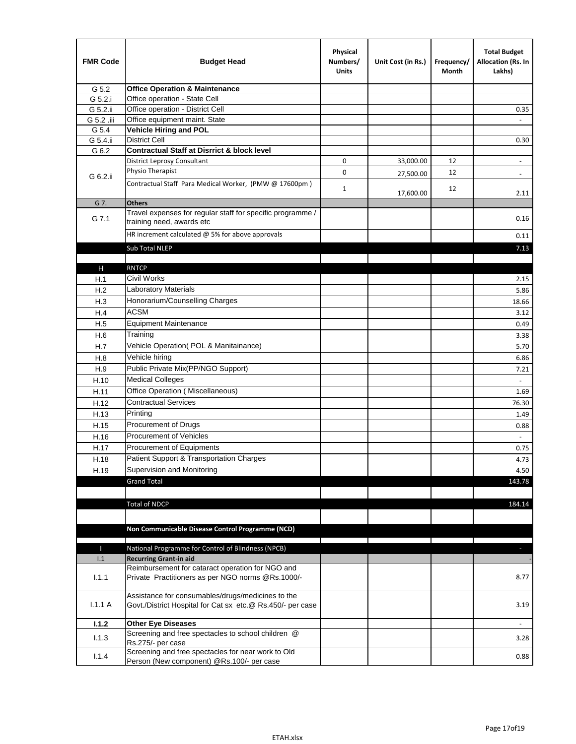| <b>FMR Code</b> | <b>Budget Head</b>                                                                                              | Physical<br>Numbers/<br><b>Units</b> | Unit Cost (in Rs.) | Frequency/<br>Month | <b>Total Budget</b><br>Allocation (Rs. In<br>Lakhs) |
|-----------------|-----------------------------------------------------------------------------------------------------------------|--------------------------------------|--------------------|---------------------|-----------------------------------------------------|
| G 5.2           | <b>Office Operation &amp; Maintenance</b>                                                                       |                                      |                    |                     |                                                     |
| G 5.2.i         | Office operation - State Cell                                                                                   |                                      |                    |                     |                                                     |
| G 5.2.ii        | Office operation - District Cell                                                                                |                                      |                    |                     | 0.35                                                |
| G 5.2 .iii      | Office equipment maint. State                                                                                   |                                      |                    |                     |                                                     |
| G 5.4           | <b>Vehicle Hiring and POL</b>                                                                                   |                                      |                    |                     |                                                     |
| G 5.4.ii        | <b>District Cell</b>                                                                                            |                                      |                    |                     | 0.30                                                |
| G 6.2           | <b>Contractual Staff at Disrrict &amp; block level</b>                                                          |                                      |                    |                     |                                                     |
|                 | <b>District Leprosy Consultant</b>                                                                              | 0                                    | 33,000.00          | 12                  |                                                     |
| G 6.2.ii        | Physio Therapist                                                                                                | 0                                    | 27,500.00          | 12                  | $\overline{\phantom{a}}$                            |
|                 | Contractual Staff Para Medical Worker, (PMW @ 17600pm)                                                          | 1                                    | 17,600.00          | 12                  | 2.11                                                |
| G 7.            | <b>Others</b>                                                                                                   |                                      |                    |                     |                                                     |
| G 7.1           | Travel expenses for regular staff for specific programme /<br>training need, awards etc                         |                                      |                    |                     | 0.16                                                |
|                 | HR increment calculated $@$ 5% for above approvals                                                              |                                      |                    |                     | 0.11                                                |
|                 | Sub Total NLEP                                                                                                  |                                      |                    |                     | 7.13                                                |
|                 |                                                                                                                 |                                      |                    |                     |                                                     |
| н               | <b>RNTCP</b>                                                                                                    |                                      |                    |                     |                                                     |
| H.1             | Civil Works                                                                                                     |                                      |                    |                     | 2.15                                                |
| H.2             | Laboratory Materials                                                                                            |                                      |                    |                     | 5.86                                                |
| H.3             | Honorarium/Counselling Charges                                                                                  |                                      |                    |                     | 18.66                                               |
| H.4             | <b>ACSM</b>                                                                                                     |                                      |                    |                     | 3.12                                                |
| H.5             | <b>Equipment Maintenance</b>                                                                                    |                                      |                    |                     | 0.49                                                |
| H.6             | Training                                                                                                        |                                      |                    |                     | 3.38                                                |
| H.7             | Vehicle Operation(POL & Manitainance)                                                                           |                                      |                    |                     | 5.70                                                |
| H.8             | Vehicle hiring                                                                                                  |                                      |                    |                     | 6.86                                                |
| H.9             | Public Private Mix(PP/NGO Support)                                                                              |                                      |                    |                     | 7.21                                                |
| H.10            | <b>Medical Colleges</b>                                                                                         |                                      |                    |                     |                                                     |
| H.11            | Office Operation (Miscellaneous)                                                                                |                                      |                    |                     | 1.69                                                |
| H.12            | <b>Contractual Services</b>                                                                                     |                                      |                    |                     | 76.30                                               |
| H.13            | Printing                                                                                                        |                                      |                    |                     | 1.49                                                |
| H.15            | Procurement of Drugs                                                                                            |                                      |                    |                     | 0.88                                                |
| H.16            | Procurement of Vehicles                                                                                         |                                      |                    |                     | $\omega$                                            |
| H.17            | Procurement of Equipments                                                                                       |                                      |                    |                     | 0.75                                                |
| H.18            | Patient Support & Transportation Charges                                                                        |                                      |                    |                     | 4.73                                                |
| H.19            | Supervision and Monitoring                                                                                      |                                      |                    |                     | 4.50                                                |
|                 | <b>Grand Total</b>                                                                                              |                                      |                    |                     | 143.78                                              |
|                 |                                                                                                                 |                                      |                    |                     |                                                     |
|                 | <b>Total of NDCP</b>                                                                                            |                                      |                    |                     | 184.14                                              |
|                 | Non Communicable Disease Control Programme (NCD)                                                                |                                      |                    |                     |                                                     |
|                 |                                                                                                                 |                                      |                    |                     |                                                     |
| П               | National Programme for Control of Blindness (NPCB)                                                              |                                      |                    |                     | $\overline{\phantom{a}}$                            |
| 1.1             | <b>Recurring Grant-in aid</b>                                                                                   |                                      |                    |                     |                                                     |
| 1.1.1           | Reimbursement for cataract operation for NGO and<br>Private Practitioners as per NGO norms @Rs.1000/-           |                                      |                    |                     | 8.77                                                |
| 1.1.1A          | Assistance for consumables/drugs/medicines to the<br>Govt./District Hospital for Cat sx etc.@ Rs.450/- per case |                                      |                    |                     | 3.19                                                |
| 1.1.2           | <b>Other Eye Diseases</b>                                                                                       |                                      |                    |                     |                                                     |
|                 | Screening and free spectacles to school children @                                                              |                                      |                    |                     |                                                     |
| 1.1.3           | Rs.275/- per case                                                                                               |                                      |                    |                     | 3.28                                                |
| 1.1.4           | Screening and free spectacles for near work to Old<br>Person (New component) @Rs.100/- per case                 |                                      |                    |                     | 0.88                                                |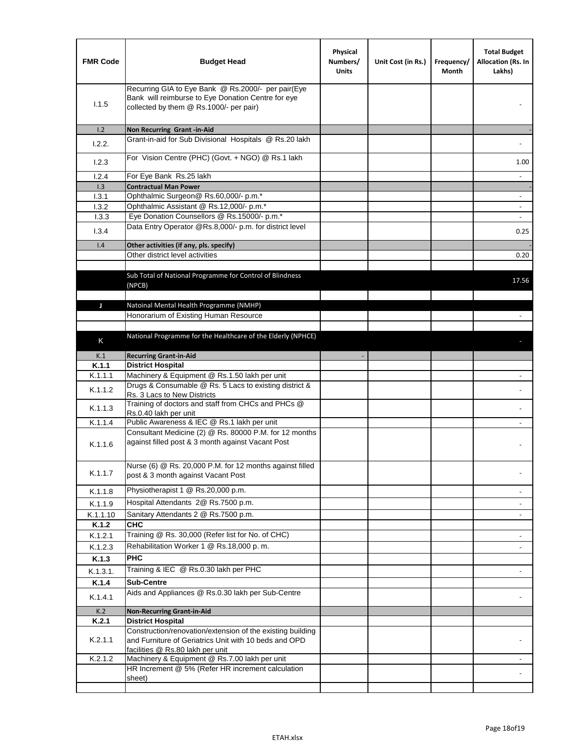| <b>FMR Code</b> | <b>Budget Head</b>                                                                                                                                      | Physical<br>Numbers/<br><b>Units</b> | Unit Cost (in Rs.) | Frequency/<br>Month | <b>Total Budget</b><br>Allocation (Rs. In<br>Lakhs) |
|-----------------|---------------------------------------------------------------------------------------------------------------------------------------------------------|--------------------------------------|--------------------|---------------------|-----------------------------------------------------|
| 1.1.5           | Recurring GIA to Eye Bank @ Rs.2000/- per pair(Eye<br>Bank will reimburse to Eye Donation Centre for eye<br>collected by them @ Rs.1000/- per pair)     |                                      |                    |                     |                                                     |
| 1.2             | Non Recurring Grant -in-Aid                                                                                                                             |                                      |                    |                     |                                                     |
| 1.2.2.          | Grant-in-aid for Sub Divisional Hospitals @ Rs.20 lakh                                                                                                  |                                      |                    |                     |                                                     |
| 1.2.3           | For Vision Centre (PHC) (Govt. + NGO) @ Rs.1 lakh                                                                                                       |                                      |                    |                     | 1.00                                                |
| 1.2.4           | For Eye Bank Rs.25 lakh                                                                                                                                 |                                      |                    |                     | $\overline{\phantom{a}}$                            |
| 1.3             | <b>Contractual Man Power</b>                                                                                                                            |                                      |                    |                     |                                                     |
| 1.3.1           | Ophthalmic Surgeon@ Rs.60,000/- p.m.*<br>Ophthalmic Assistant @ Rs.12,000/- p.m.*                                                                       |                                      |                    |                     | $\overline{\phantom{a}}$                            |
| 1.3.2<br>1.3.3  | Eye Donation Counsellors @ Rs.15000/- p.m.*                                                                                                             |                                      |                    |                     | $\omega$                                            |
|                 | Data Entry Operator @Rs.8,000/- p.m. for district level                                                                                                 |                                      |                    |                     |                                                     |
| 1.3.4           |                                                                                                                                                         |                                      |                    |                     | 0.25                                                |
| 1.4             | Other activities (if any, pls. specify)<br>Other district level activities                                                                              |                                      |                    |                     | 0.20                                                |
|                 |                                                                                                                                                         |                                      |                    |                     |                                                     |
|                 | Sub Total of National Programme for Control of Blindness<br>(NPCB)                                                                                      |                                      |                    |                     | 17.56                                               |
| J               | Natoinal Mental Health Programme (NMHP)                                                                                                                 |                                      |                    |                     |                                                     |
|                 | Honorarium of Existing Human Resource                                                                                                                   |                                      |                    |                     |                                                     |
|                 |                                                                                                                                                         |                                      |                    |                     |                                                     |
|                 | National Programme for the Healthcare of the Elderly (NPHCE)                                                                                            |                                      |                    |                     |                                                     |
| K               |                                                                                                                                                         |                                      |                    |                     |                                                     |
| K.1             | <b>Recurring Grant-in-Aid</b>                                                                                                                           |                                      |                    |                     |                                                     |
| K.1.1           | <b>District Hospital</b>                                                                                                                                |                                      |                    |                     |                                                     |
| K.1.1.1         | Machinery & Equipment @ Rs.1.50 lakh per unit                                                                                                           |                                      |                    |                     |                                                     |
| K.1.1.2         | Drugs & Consumable @ Rs. 5 Lacs to existing district &<br>Rs. 3 Lacs to New Districts                                                                   |                                      |                    |                     |                                                     |
| K.1.1.3         | Training of doctors and staff from CHCs and PHCs @<br>Rs.0.40 lakh per unit                                                                             |                                      |                    |                     |                                                     |
| K.1.1.4         | Public Awareness & IEC @ Rs.1 lakh per unit                                                                                                             |                                      |                    |                     |                                                     |
| K.1.1.6         | Consultant Medicine (2) @ Rs. 80000 P.M. for 12 months<br>against filled post & 3 month against Vacant Post                                             |                                      |                    |                     |                                                     |
| K.1.1.7         | Nurse (6) @ Rs. 20,000 P.M. for 12 months against filled<br>post & 3 month against Vacant Post                                                          |                                      |                    |                     |                                                     |
| K.1.1.8         | Physiotherapist 1 @ Rs.20,000 p.m.                                                                                                                      |                                      |                    |                     |                                                     |
| K.1.1.9         | Hospital Attendants 2@ Rs.7500 p.m.                                                                                                                     |                                      |                    |                     |                                                     |
| K.1.1.10        | Sanitary Attendants 2 @ Rs.7500 p.m.                                                                                                                    |                                      |                    |                     |                                                     |
| K.1.2           | <b>CHC</b>                                                                                                                                              |                                      |                    |                     |                                                     |
| K.1.2.1         | Training @ Rs. 30,000 (Refer list for No. of CHC)                                                                                                       |                                      |                    |                     |                                                     |
| K.1.2.3         | Rehabilitation Worker 1 @ Rs.18,000 p.m.                                                                                                                |                                      |                    |                     |                                                     |
| K.1.3           | <b>PHC</b>                                                                                                                                              |                                      |                    |                     |                                                     |
| K.1.3.1.        | Training & IEC @ Rs.0.30 lakh per PHC                                                                                                                   |                                      |                    |                     |                                                     |
|                 | <b>Sub-Centre</b>                                                                                                                                       |                                      |                    |                     |                                                     |
| K.1.4           | Aids and Appliances @ Rs.0.30 lakh per Sub-Centre                                                                                                       |                                      |                    |                     |                                                     |
| K.1.4.1         |                                                                                                                                                         |                                      |                    |                     |                                                     |
| K.2             | <b>Non-Recurring Grant-in-Aid</b>                                                                                                                       |                                      |                    |                     |                                                     |
| K.2.1           | <b>District Hospital</b>                                                                                                                                |                                      |                    |                     |                                                     |
| K.2.1.1         | Construction/renovation/extension of the existing building<br>and Furniture of Geriatrics Unit with 10 beds and OPD<br>facilities @ Rs.80 lakh per unit |                                      |                    |                     |                                                     |
| K.2.1.2         | Machinery & Equipment @ Rs.7.00 lakh per unit                                                                                                           |                                      |                    |                     |                                                     |
|                 | HR Increment @ 5% (Refer HR increment calculation                                                                                                       |                                      |                    |                     |                                                     |
|                 | sheet)                                                                                                                                                  |                                      |                    |                     |                                                     |
|                 |                                                                                                                                                         |                                      |                    |                     |                                                     |